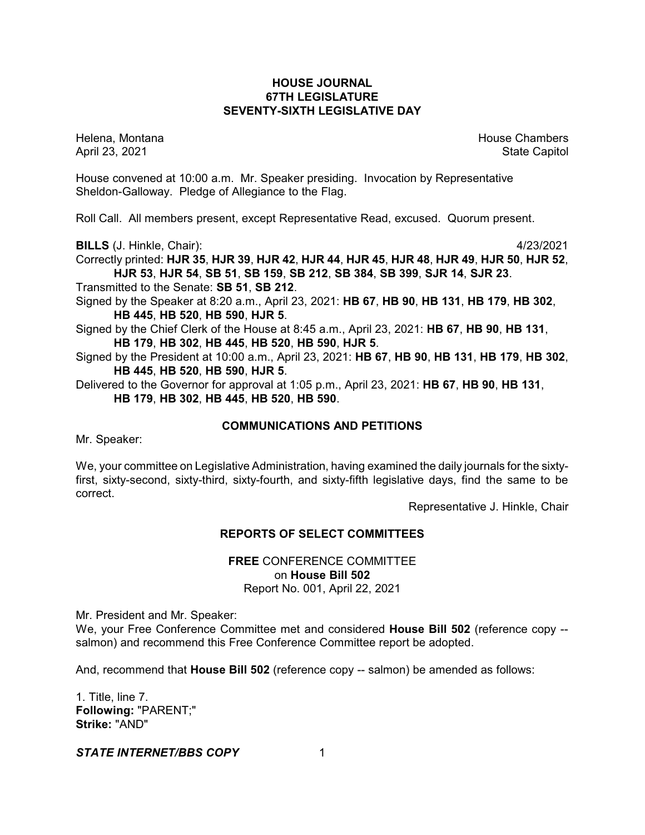## **HOUSE JOURNAL 67TH LEGISLATURE SEVENTY-SIXTH LEGISLATIVE DAY**

Helena, Montana House Chambers Chambers Chambers and House Chambers Chambers Chambers Chambers and House Chambers and House Chambers and House Chambers and House Chambers and House Chambers and House Chambers and House Cha

April 23, 2021 State Capitol

House convened at 10:00 a.m. Mr. Speaker presiding. Invocation by Representative Sheldon-Galloway. Pledge of Allegiance to the Flag.

Roll Call. All members present, except Representative Read, excused. Quorum present.

**BILLS** (J. Hinkle, Chair): 4/23/2021

Correctly printed: **HJR 35**, **HJR 39**, **HJR 42**, **HJR 44**, **HJR 45**, **HJR 48**, **HJR 49**, **HJR 50**, **HJR 52**, **HJR 53**, **HJR 54**, **SB 51**, **SB 159**, **SB 212**, **SB 384**, **SB 399**, **SJR 14**, **SJR 23**.

Transmitted to the Senate: **SB 51**, **SB 212**.

- Signed by the Speaker at 8:20 a.m., April 23, 2021: **HB 67**, **HB 90**, **HB 131**, **HB 179**, **HB 302**, **HB 445**, **HB 520**, **HB 590**, **HJR 5**.
- Signed by the Chief Clerk of the House at 8:45 a.m., April 23, 2021: **HB 67**, **HB 90**, **HB 131**, **HB 179**, **HB 302**, **HB 445**, **HB 520**, **HB 590**, **HJR 5**.
- Signed by the President at 10:00 a.m., April 23, 2021: **HB 67**, **HB 90**, **HB 131**, **HB 179**, **HB 302**, **HB 445**, **HB 520**, **HB 590**, **HJR 5**.

Delivered to the Governor for approval at 1:05 p.m., April 23, 2021: **HB 67**, **HB 90**, **HB 131**, **HB 179**, **HB 302**, **HB 445**, **HB 520**, **HB 590**.

# **COMMUNICATIONS AND PETITIONS**

Mr. Speaker:

We, your committee on Legislative Administration, having examined the daily journals for the sixtyfirst, sixty-second, sixty-third, sixty-fourth, and sixty-fifth legislative days, find the same to be correct.

Representative J. Hinkle, Chair

# **REPORTS OF SELECT COMMITTEES**

**FREE** CONFERENCE COMMITTEE on **House Bill 502** Report No. 001, April 22, 2021

Mr. President and Mr. Speaker:

We, your Free Conference Committee met and considered **House Bill 502** (reference copy - salmon) and recommend this Free Conference Committee report be adopted.

And, recommend that **House Bill 502** (reference copy -- salmon) be amended as follows:

1. Title, line 7. **Following:** "PARENT;" **Strike:** "AND"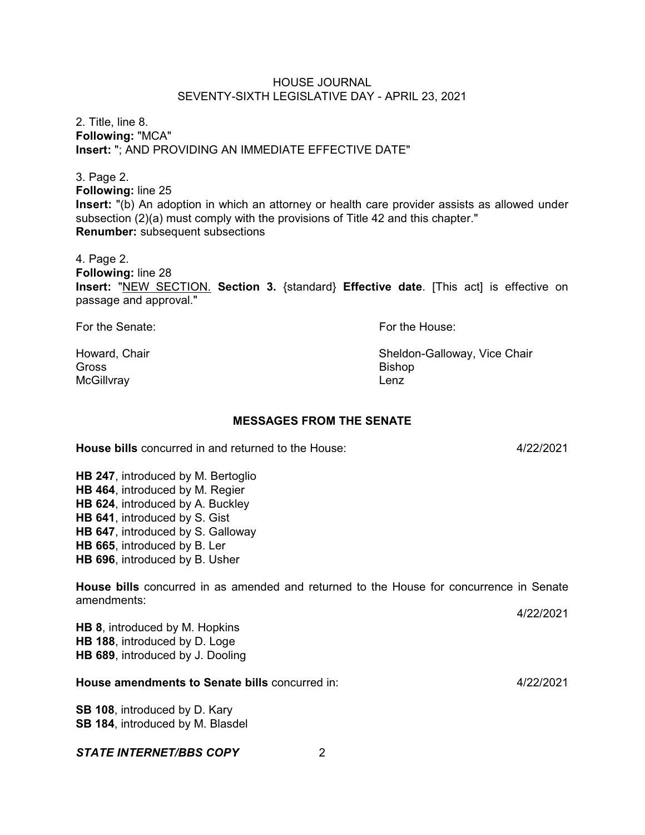2. Title, line 8. **Following:** "MCA" **Insert:** "; AND PROVIDING AN IMMEDIATE EFFECTIVE DATE"

3. Page 2. **Following:** line 25 **Insert:** "(b) An adoption in which an attorney or health care provider assists as allowed under subsection (2)(a) must comply with the provisions of Title 42 and this chapter." **Renumber:** subsequent subsections

4. Page 2. **Following:** line 28 **Insert:** "NEW SECTION. **Section 3.** {standard} **Effective date**. [This act] is effective on passage and approval."

For the Senate: For the House:

Gross Bishop McGillvray **Lenz** 

Howard, Chair **National Chair** Sheldon-Galloway, Vice Chair

## **MESSAGES FROM THE SENATE**

**House bills** concurred in and returned to the House: 4/22/2021

**HB 247**, introduced by M. Bertoglio **HB 464**, introduced by M. Regier **HB 624**, introduced by A. Buckley **HB 641**, introduced by S. Gist **HB 647**, introduced by S. Galloway **HB 665**, introduced by B. Ler **HB 696**, introduced by B. Usher

**House bills** concurred in as amended and returned to the House for concurrence in Senate amendments:

4/22/2021

**HB 8**, introduced by M. Hopkins **HB 188**, introduced by D. Loge **HB 689**, introduced by J. Dooling

## **House amendments to Senate bills** concurred in: 4/22/2021

**SB 108**, introduced by D. Kary **SB 184**, introduced by M. Blasdel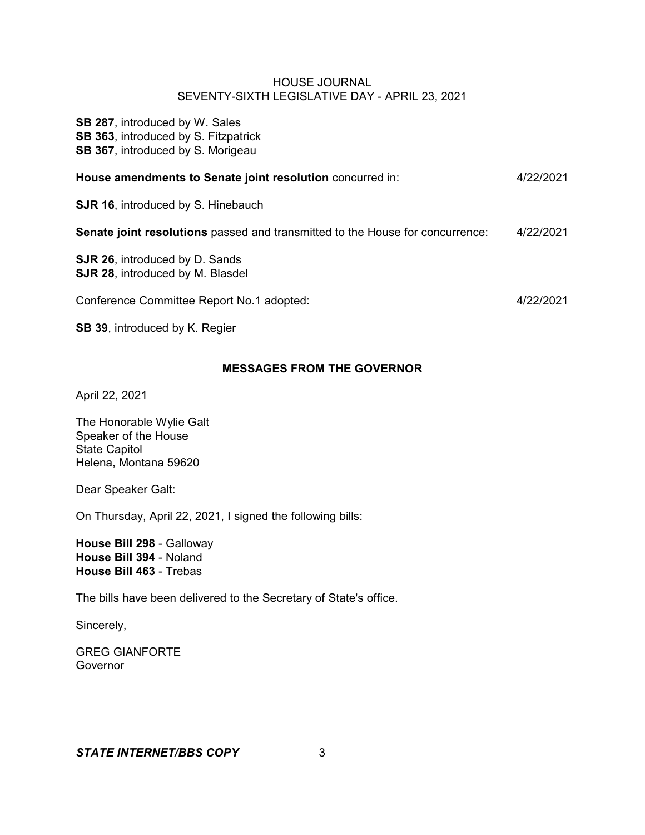**SB 287**, introduced by W. Sales **SB 363**, introduced by S. Fitzpatrick **SB 367**, introduced by S. Morigeau

| House amendments to Senate joint resolution concurred in:                        | 4/22/2021 |
|----------------------------------------------------------------------------------|-----------|
| <b>SJR 16, introduced by S. Hinebauch</b>                                        |           |
| Senate joint resolutions passed and transmitted to the House for concurrence:    | 4/22/2021 |
| <b>SJR 26, introduced by D. Sands</b><br><b>SJR 28, introduced by M. Blasdel</b> |           |
| Conference Committee Report No.1 adopted:                                        | 4/22/2021 |
|                                                                                  |           |

**SB 39**, introduced by K. Regier

# **MESSAGES FROM THE GOVERNOR**

April 22, 2021

The Honorable Wylie Galt Speaker of the House State Capitol Helena, Montana 59620

Dear Speaker Galt:

On Thursday, April 22, 2021, I signed the following bills:

**House Bill 298** - Galloway **House Bill 394** - Noland **House Bill 463** - Trebas

The bills have been delivered to the Secretary of State's office.

Sincerely,

GREG GIANFORTE Governor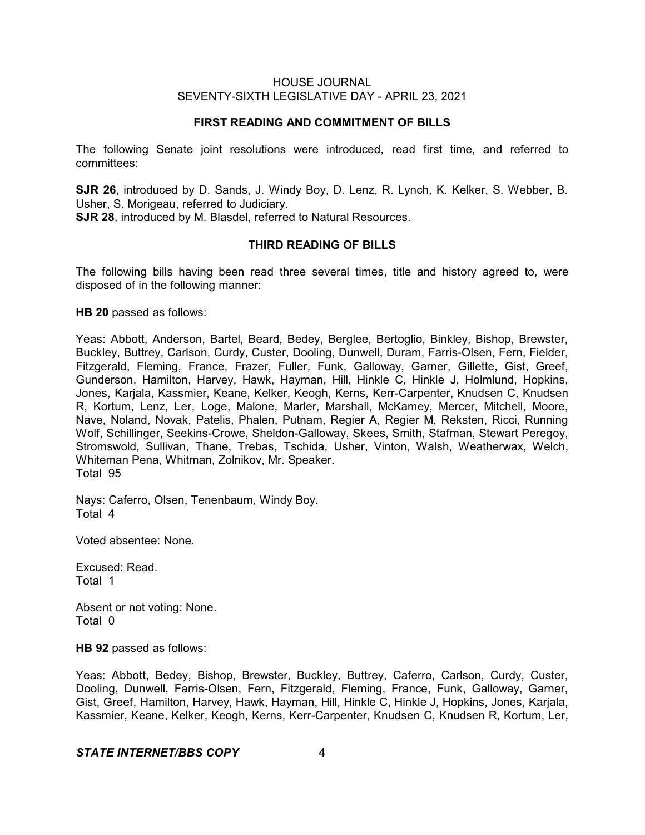#### **FIRST READING AND COMMITMENT OF BILLS**

The following Senate joint resolutions were introduced, read first time, and referred to committees:

**SJR 26**, introduced by D. Sands, J. Windy Boy, D. Lenz, R. Lynch, K. Kelker, S. Webber, B. Usher, S. Morigeau, referred to Judiciary. **SJR 28**, introduced by M. Blasdel, referred to Natural Resources.

#### **THIRD READING OF BILLS**

The following bills having been read three several times, title and history agreed to, were disposed of in the following manner:

**HB 20** passed as follows:

Yeas: Abbott, Anderson, Bartel, Beard, Bedey, Berglee, Bertoglio, Binkley, Bishop, Brewster, Buckley, Buttrey, Carlson, Curdy, Custer, Dooling, Dunwell, Duram, Farris-Olsen, Fern, Fielder, Fitzgerald, Fleming, France, Frazer, Fuller, Funk, Galloway, Garner, Gillette, Gist, Greef, Gunderson, Hamilton, Harvey, Hawk, Hayman, Hill, Hinkle C, Hinkle J, Holmlund, Hopkins, Jones, Karjala, Kassmier, Keane, Kelker, Keogh, Kerns, Kerr-Carpenter, Knudsen C, Knudsen R, Kortum, Lenz, Ler, Loge, Malone, Marler, Marshall, McKamey, Mercer, Mitchell, Moore, Nave, Noland, Novak, Patelis, Phalen, Putnam, Regier A, Regier M, Reksten, Ricci, Running Wolf, Schillinger, Seekins-Crowe, Sheldon-Galloway, Skees, Smith, Stafman, Stewart Peregoy, Stromswold, Sullivan, Thane, Trebas, Tschida, Usher, Vinton, Walsh, Weatherwax, Welch, Whiteman Pena, Whitman, Zolnikov, Mr. Speaker. Total 95

Nays: Caferro, Olsen, Tenenbaum, Windy Boy. Total 4

Voted absentee: None.

Excused: Read. Total 1

Absent or not voting: None. Total 0

**HB 92** passed as follows:

Yeas: Abbott, Bedey, Bishop, Brewster, Buckley, Buttrey, Caferro, Carlson, Curdy, Custer, Dooling, Dunwell, Farris-Olsen, Fern, Fitzgerald, Fleming, France, Funk, Galloway, Garner, Gist, Greef, Hamilton, Harvey, Hawk, Hayman, Hill, Hinkle C, Hinkle J, Hopkins, Jones, Karjala, Kassmier, Keane, Kelker, Keogh, Kerns, Kerr-Carpenter, Knudsen C, Knudsen R, Kortum, Ler,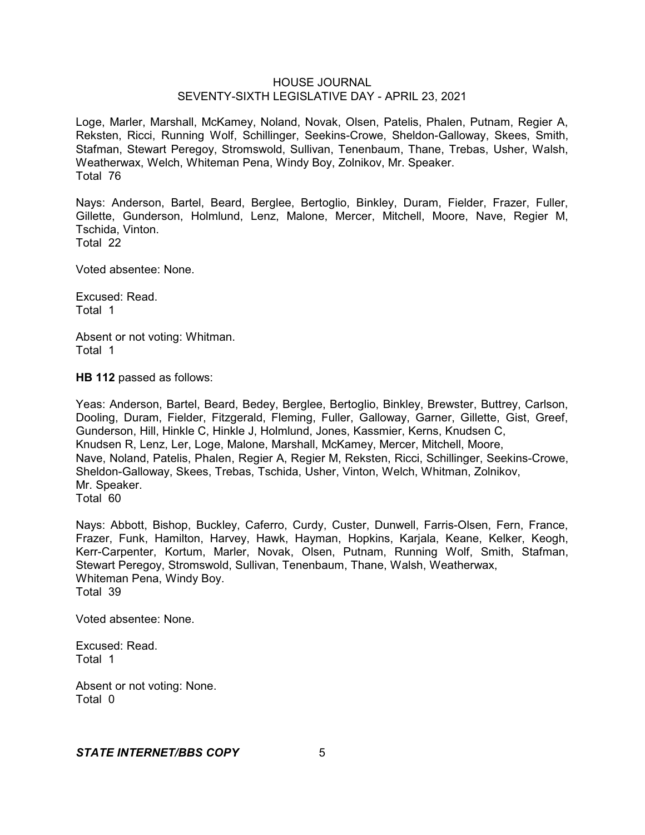Loge, Marler, Marshall, McKamey, Noland, Novak, Olsen, Patelis, Phalen, Putnam, Regier A, Reksten, Ricci, Running Wolf, Schillinger, Seekins-Crowe, Sheldon-Galloway, Skees, Smith, Stafman, Stewart Peregoy, Stromswold, Sullivan, Tenenbaum, Thane, Trebas, Usher, Walsh, Weatherwax, Welch, Whiteman Pena, Windy Boy, Zolnikov, Mr. Speaker. Total 76

Nays: Anderson, Bartel, Beard, Berglee, Bertoglio, Binkley, Duram, Fielder, Frazer, Fuller, Gillette, Gunderson, Holmlund, Lenz, Malone, Mercer, Mitchell, Moore, Nave, Regier M, Tschida, Vinton. Total 22

Voted absentee: None.

Excused: Read. Total 1

Absent or not voting: Whitman. Total 1

**HB 112** passed as follows:

Yeas: Anderson, Bartel, Beard, Bedey, Berglee, Bertoglio, Binkley, Brewster, Buttrey, Carlson, Dooling, Duram, Fielder, Fitzgerald, Fleming, Fuller, Galloway, Garner, Gillette, Gist, Greef, Gunderson, Hill, Hinkle C, Hinkle J, Holmlund, Jones, Kassmier, Kerns, Knudsen C, Knudsen R, Lenz, Ler, Loge, Malone, Marshall, McKamey, Mercer, Mitchell, Moore, Nave, Noland, Patelis, Phalen, Regier A, Regier M, Reksten, Ricci, Schillinger, Seekins-Crowe, Sheldon-Galloway, Skees, Trebas, Tschida, Usher, Vinton, Welch, Whitman, Zolnikov, Mr. Speaker. Total 60

Nays: Abbott, Bishop, Buckley, Caferro, Curdy, Custer, Dunwell, Farris-Olsen, Fern, France, Frazer, Funk, Hamilton, Harvey, Hawk, Hayman, Hopkins, Karjala, Keane, Kelker, Keogh, Kerr-Carpenter, Kortum, Marler, Novak, Olsen, Putnam, Running Wolf, Smith, Stafman, Stewart Peregoy, Stromswold, Sullivan, Tenenbaum, Thane, Walsh, Weatherwax, Whiteman Pena, Windy Boy. Total 39

Voted absentee: None.

Excused: Read. Total 1

Absent or not voting: None. Total 0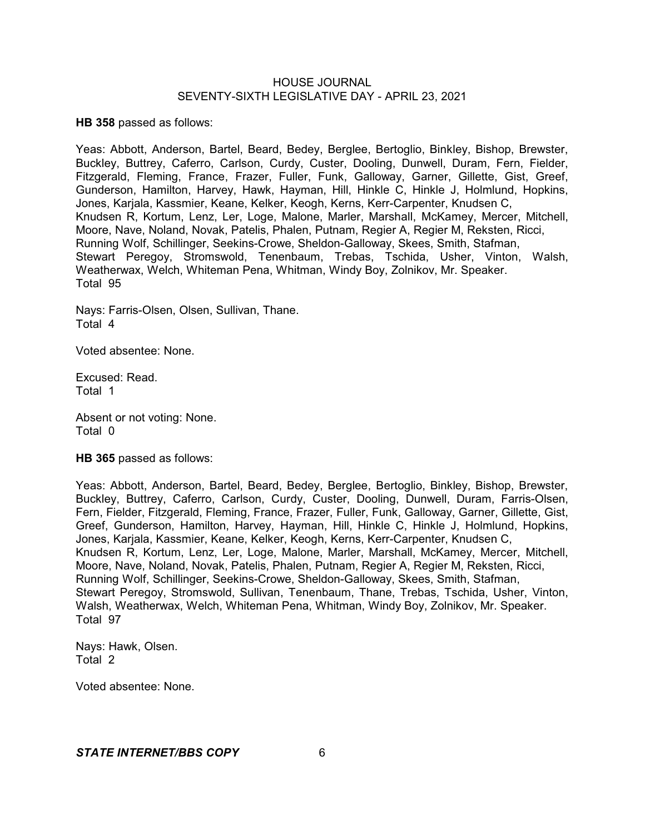**HB 358** passed as follows:

Yeas: Abbott, Anderson, Bartel, Beard, Bedey, Berglee, Bertoglio, Binkley, Bishop, Brewster, Buckley, Buttrey, Caferro, Carlson, Curdy, Custer, Dooling, Dunwell, Duram, Fern, Fielder, Fitzgerald, Fleming, France, Frazer, Fuller, Funk, Galloway, Garner, Gillette, Gist, Greef, Gunderson, Hamilton, Harvey, Hawk, Hayman, Hill, Hinkle C, Hinkle J, Holmlund, Hopkins, Jones, Karjala, Kassmier, Keane, Kelker, Keogh, Kerns, Kerr-Carpenter, Knudsen C, Knudsen R, Kortum, Lenz, Ler, Loge, Malone, Marler, Marshall, McKamey, Mercer, Mitchell, Moore, Nave, Noland, Novak, Patelis, Phalen, Putnam, Regier A, Regier M, Reksten, Ricci, Running Wolf, Schillinger, Seekins-Crowe, Sheldon-Galloway, Skees, Smith, Stafman, Stewart Peregoy, Stromswold, Tenenbaum, Trebas, Tschida, Usher, Vinton, Walsh, Weatherwax, Welch, Whiteman Pena, Whitman, Windy Boy, Zolnikov, Mr. Speaker. Total 95

Nays: Farris-Olsen, Olsen, Sullivan, Thane. Total 4

Voted absentee: None.

Excused: Read. Total 1

Absent or not voting: None. Total 0

**HB 365** passed as follows:

Yeas: Abbott, Anderson, Bartel, Beard, Bedey, Berglee, Bertoglio, Binkley, Bishop, Brewster, Buckley, Buttrey, Caferro, Carlson, Curdy, Custer, Dooling, Dunwell, Duram, Farris-Olsen, Fern, Fielder, Fitzgerald, Fleming, France, Frazer, Fuller, Funk, Galloway, Garner, Gillette, Gist, Greef, Gunderson, Hamilton, Harvey, Hayman, Hill, Hinkle C, Hinkle J, Holmlund, Hopkins, Jones, Karjala, Kassmier, Keane, Kelker, Keogh, Kerns, Kerr-Carpenter, Knudsen C, Knudsen R, Kortum, Lenz, Ler, Loge, Malone, Marler, Marshall, McKamey, Mercer, Mitchell, Moore, Nave, Noland, Novak, Patelis, Phalen, Putnam, Regier A, Regier M, Reksten, Ricci, Running Wolf, Schillinger, Seekins-Crowe, Sheldon-Galloway, Skees, Smith, Stafman, Stewart Peregoy, Stromswold, Sullivan, Tenenbaum, Thane, Trebas, Tschida, Usher, Vinton, Walsh, Weatherwax, Welch, Whiteman Pena, Whitman, Windy Boy, Zolnikov, Mr. Speaker. Total 97

Nays: Hawk, Olsen. Total 2

Voted absentee: None.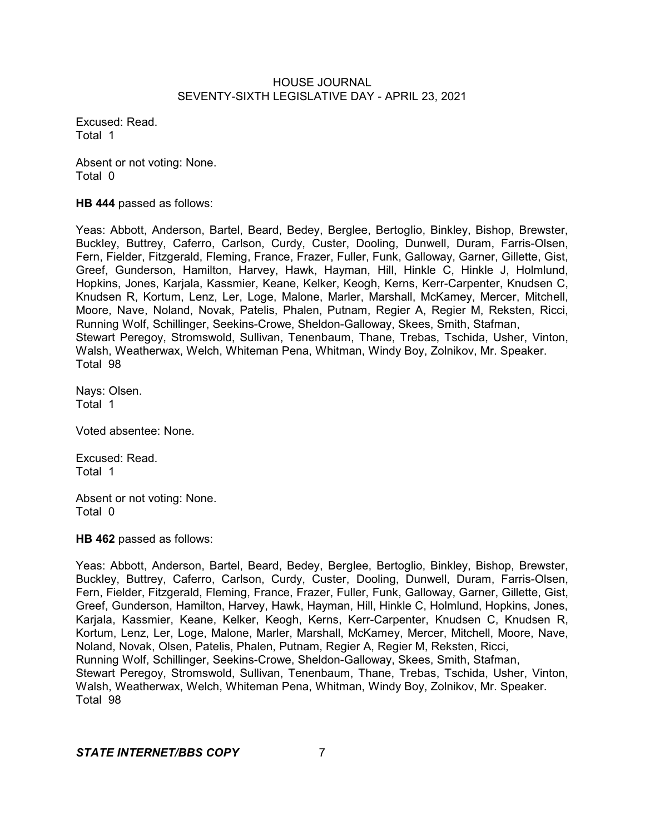Excused: Read. Total 1

Absent or not voting: None. Total 0

**HB 444** passed as follows:

Yeas: Abbott, Anderson, Bartel, Beard, Bedey, Berglee, Bertoglio, Binkley, Bishop, Brewster, Buckley, Buttrey, Caferro, Carlson, Curdy, Custer, Dooling, Dunwell, Duram, Farris-Olsen, Fern, Fielder, Fitzgerald, Fleming, France, Frazer, Fuller, Funk, Galloway, Garner, Gillette, Gist, Greef, Gunderson, Hamilton, Harvey, Hawk, Hayman, Hill, Hinkle C, Hinkle J, Holmlund, Hopkins, Jones, Karjala, Kassmier, Keane, Kelker, Keogh, Kerns, Kerr-Carpenter, Knudsen C, Knudsen R, Kortum, Lenz, Ler, Loge, Malone, Marler, Marshall, McKamey, Mercer, Mitchell, Moore, Nave, Noland, Novak, Patelis, Phalen, Putnam, Regier A, Regier M, Reksten, Ricci, Running Wolf, Schillinger, Seekins-Crowe, Sheldon-Galloway, Skees, Smith, Stafman, Stewart Peregoy, Stromswold, Sullivan, Tenenbaum, Thane, Trebas, Tschida, Usher, Vinton, Walsh, Weatherwax, Welch, Whiteman Pena, Whitman, Windy Boy, Zolnikov, Mr. Speaker. Total 98

Nays: Olsen. Total 1

Voted absentee: None.

Excused: Read. Total 1

Absent or not voting: None. Total 0

**HB 462** passed as follows:

Yeas: Abbott, Anderson, Bartel, Beard, Bedey, Berglee, Bertoglio, Binkley, Bishop, Brewster, Buckley, Buttrey, Caferro, Carlson, Curdy, Custer, Dooling, Dunwell, Duram, Farris-Olsen, Fern, Fielder, Fitzgerald, Fleming, France, Frazer, Fuller, Funk, Galloway, Garner, Gillette, Gist, Greef, Gunderson, Hamilton, Harvey, Hawk, Hayman, Hill, Hinkle C, Holmlund, Hopkins, Jones, Karjala, Kassmier, Keane, Kelker, Keogh, Kerns, Kerr-Carpenter, Knudsen C, Knudsen R, Kortum, Lenz, Ler, Loge, Malone, Marler, Marshall, McKamey, Mercer, Mitchell, Moore, Nave, Noland, Novak, Olsen, Patelis, Phalen, Putnam, Regier A, Regier M, Reksten, Ricci, Running Wolf, Schillinger, Seekins-Crowe, Sheldon-Galloway, Skees, Smith, Stafman, Stewart Peregoy, Stromswold, Sullivan, Tenenbaum, Thane, Trebas, Tschida, Usher, Vinton, Walsh, Weatherwax, Welch, Whiteman Pena, Whitman, Windy Boy, Zolnikov, Mr. Speaker. Total 98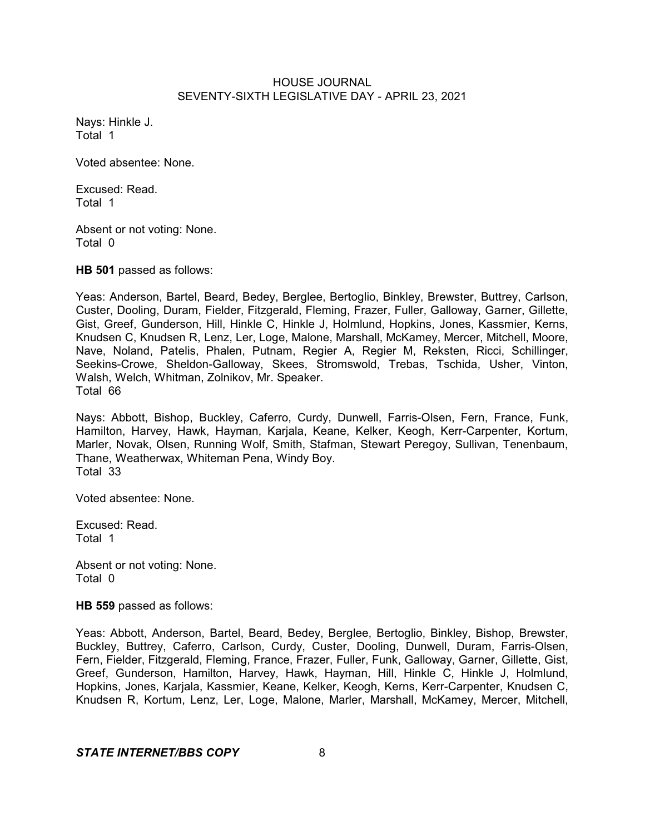Nays: Hinkle J. Total 1

Voted absentee: None.

Excused: Read. Total 1

Absent or not voting: None. Total 0

**HB 501** passed as follows:

Yeas: Anderson, Bartel, Beard, Bedey, Berglee, Bertoglio, Binkley, Brewster, Buttrey, Carlson, Custer, Dooling, Duram, Fielder, Fitzgerald, Fleming, Frazer, Fuller, Galloway, Garner, Gillette, Gist, Greef, Gunderson, Hill, Hinkle C, Hinkle J, Holmlund, Hopkins, Jones, Kassmier, Kerns, Knudsen C, Knudsen R, Lenz, Ler, Loge, Malone, Marshall, McKamey, Mercer, Mitchell, Moore, Nave, Noland, Patelis, Phalen, Putnam, Regier A, Regier M, Reksten, Ricci, Schillinger, Seekins-Crowe, Sheldon-Galloway, Skees, Stromswold, Trebas, Tschida, Usher, Vinton, Walsh, Welch, Whitman, Zolnikov, Mr. Speaker. Total 66

Nays: Abbott, Bishop, Buckley, Caferro, Curdy, Dunwell, Farris-Olsen, Fern, France, Funk, Hamilton, Harvey, Hawk, Hayman, Karjala, Keane, Kelker, Keogh, Kerr-Carpenter, Kortum, Marler, Novak, Olsen, Running Wolf, Smith, Stafman, Stewart Peregoy, Sullivan, Tenenbaum, Thane, Weatherwax, Whiteman Pena, Windy Boy. Total 33

Voted absentee: None.

Excused: Read. Total 1

Absent or not voting: None. Total 0

**HB 559** passed as follows:

Yeas: Abbott, Anderson, Bartel, Beard, Bedey, Berglee, Bertoglio, Binkley, Bishop, Brewster, Buckley, Buttrey, Caferro, Carlson, Curdy, Custer, Dooling, Dunwell, Duram, Farris-Olsen, Fern, Fielder, Fitzgerald, Fleming, France, Frazer, Fuller, Funk, Galloway, Garner, Gillette, Gist, Greef, Gunderson, Hamilton, Harvey, Hawk, Hayman, Hill, Hinkle C, Hinkle J, Holmlund, Hopkins, Jones, Karjala, Kassmier, Keane, Kelker, Keogh, Kerns, Kerr-Carpenter, Knudsen C, Knudsen R, Kortum, Lenz, Ler, Loge, Malone, Marler, Marshall, McKamey, Mercer, Mitchell,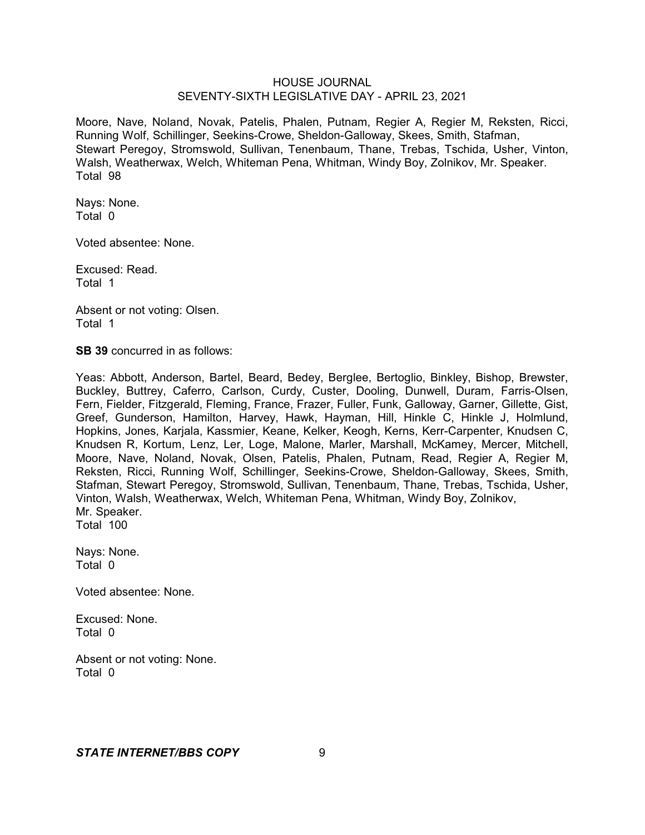Moore, Nave, Noland, Novak, Patelis, Phalen, Putnam, Regier A, Regier M, Reksten, Ricci, Running Wolf, Schillinger, Seekins-Crowe, Sheldon-Galloway, Skees, Smith, Stafman, Stewart Peregoy, Stromswold, Sullivan, Tenenbaum, Thane, Trebas, Tschida, Usher, Vinton, Walsh, Weatherwax, Welch, Whiteman Pena, Whitman, Windy Boy, Zolnikov, Mr. Speaker. Total 98

Nays: None. Total 0

Voted absentee: None.

Excused: Read. Total 1

Absent or not voting: Olsen. Total 1

**SB 39** concurred in as follows:

Yeas: Abbott, Anderson, Bartel, Beard, Bedey, Berglee, Bertoglio, Binkley, Bishop, Brewster, Buckley, Buttrey, Caferro, Carlson, Curdy, Custer, Dooling, Dunwell, Duram, Farris-Olsen, Fern, Fielder, Fitzgerald, Fleming, France, Frazer, Fuller, Funk, Galloway, Garner, Gillette, Gist, Greef, Gunderson, Hamilton, Harvey, Hawk, Hayman, Hill, Hinkle C, Hinkle J, Holmlund, Hopkins, Jones, Karjala, Kassmier, Keane, Kelker, Keogh, Kerns, Kerr-Carpenter, Knudsen C, Knudsen R, Kortum, Lenz, Ler, Loge, Malone, Marler, Marshall, McKamey, Mercer, Mitchell, Moore, Nave, Noland, Novak, Olsen, Patelis, Phalen, Putnam, Read, Regier A, Regier M, Reksten, Ricci, Running Wolf, Schillinger, Seekins-Crowe, Sheldon-Galloway, Skees, Smith, Stafman, Stewart Peregoy, Stromswold, Sullivan, Tenenbaum, Thane, Trebas, Tschida, Usher, Vinton, Walsh, Weatherwax, Welch, Whiteman Pena, Whitman, Windy Boy, Zolnikov, Mr. Speaker. Total 100

Nays: None. Total 0

Voted absentee: None.

Excused: None. Total 0

Absent or not voting: None. Total 0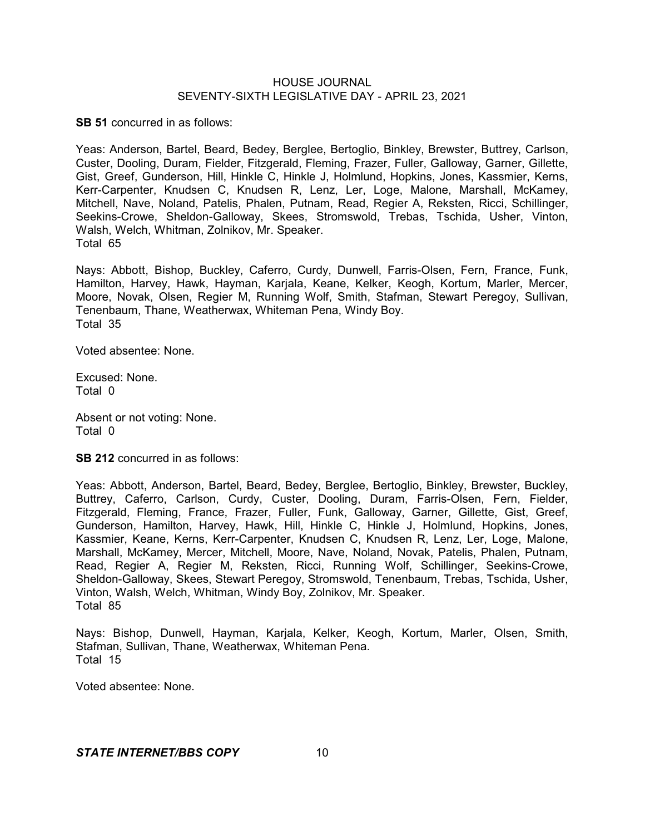**SB 51** concurred in as follows:

Yeas: Anderson, Bartel, Beard, Bedey, Berglee, Bertoglio, Binkley, Brewster, Buttrey, Carlson, Custer, Dooling, Duram, Fielder, Fitzgerald, Fleming, Frazer, Fuller, Galloway, Garner, Gillette, Gist, Greef, Gunderson, Hill, Hinkle C, Hinkle J, Holmlund, Hopkins, Jones, Kassmier, Kerns, Kerr-Carpenter, Knudsen C, Knudsen R, Lenz, Ler, Loge, Malone, Marshall, McKamey, Mitchell, Nave, Noland, Patelis, Phalen, Putnam, Read, Regier A, Reksten, Ricci, Schillinger, Seekins-Crowe, Sheldon-Galloway, Skees, Stromswold, Trebas, Tschida, Usher, Vinton, Walsh, Welch, Whitman, Zolnikov, Mr. Speaker. Total 65

Nays: Abbott, Bishop, Buckley, Caferro, Curdy, Dunwell, Farris-Olsen, Fern, France, Funk, Hamilton, Harvey, Hawk, Hayman, Karjala, Keane, Kelker, Keogh, Kortum, Marler, Mercer, Moore, Novak, Olsen, Regier M, Running Wolf, Smith, Stafman, Stewart Peregoy, Sullivan, Tenenbaum, Thane, Weatherwax, Whiteman Pena, Windy Boy. Total 35

Voted absentee: None.

Excused: None. Total 0

Absent or not voting: None. Total 0

**SB 212** concurred in as follows:

Yeas: Abbott, Anderson, Bartel, Beard, Bedey, Berglee, Bertoglio, Binkley, Brewster, Buckley, Buttrey, Caferro, Carlson, Curdy, Custer, Dooling, Duram, Farris-Olsen, Fern, Fielder, Fitzgerald, Fleming, France, Frazer, Fuller, Funk, Galloway, Garner, Gillette, Gist, Greef, Gunderson, Hamilton, Harvey, Hawk, Hill, Hinkle C, Hinkle J, Holmlund, Hopkins, Jones, Kassmier, Keane, Kerns, Kerr-Carpenter, Knudsen C, Knudsen R, Lenz, Ler, Loge, Malone, Marshall, McKamey, Mercer, Mitchell, Moore, Nave, Noland, Novak, Patelis, Phalen, Putnam, Read, Regier A, Regier M, Reksten, Ricci, Running Wolf, Schillinger, Seekins-Crowe, Sheldon-Galloway, Skees, Stewart Peregoy, Stromswold, Tenenbaum, Trebas, Tschida, Usher, Vinton, Walsh, Welch, Whitman, Windy Boy, Zolnikov, Mr. Speaker. Total 85

Nays: Bishop, Dunwell, Hayman, Karjala, Kelker, Keogh, Kortum, Marler, Olsen, Smith, Stafman, Sullivan, Thane, Weatherwax, Whiteman Pena. Total 15

Voted absentee: None.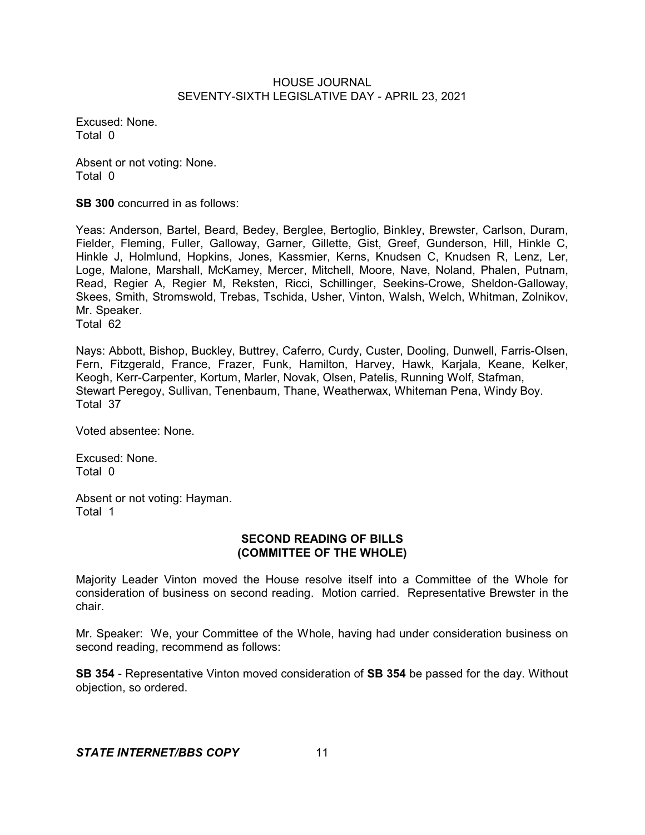Excused: None. Total 0

Absent or not voting: None. Total 0

**SB 300** concurred in as follows:

Yeas: Anderson, Bartel, Beard, Bedey, Berglee, Bertoglio, Binkley, Brewster, Carlson, Duram, Fielder, Fleming, Fuller, Galloway, Garner, Gillette, Gist, Greef, Gunderson, Hill, Hinkle C, Hinkle J, Holmlund, Hopkins, Jones, Kassmier, Kerns, Knudsen C, Knudsen R, Lenz, Ler, Loge, Malone, Marshall, McKamey, Mercer, Mitchell, Moore, Nave, Noland, Phalen, Putnam, Read, Regier A, Regier M, Reksten, Ricci, Schillinger, Seekins-Crowe, Sheldon-Galloway, Skees, Smith, Stromswold, Trebas, Tschida, Usher, Vinton, Walsh, Welch, Whitman, Zolnikov, Mr. Speaker. Total 62

Nays: Abbott, Bishop, Buckley, Buttrey, Caferro, Curdy, Custer, Dooling, Dunwell, Farris-Olsen, Fern, Fitzgerald, France, Frazer, Funk, Hamilton, Harvey, Hawk, Karjala, Keane, Kelker, Keogh, Kerr-Carpenter, Kortum, Marler, Novak, Olsen, Patelis, Running Wolf, Stafman, Stewart Peregoy, Sullivan, Tenenbaum, Thane, Weatherwax, Whiteman Pena, Windy Boy. Total 37

Voted absentee: None.

Excused: None. Total 0

Absent or not voting: Hayman. Total 1

#### **SECOND READING OF BILLS (COMMITTEE OF THE WHOLE)**

Majority Leader Vinton moved the House resolve itself into a Committee of the Whole for consideration of business on second reading. Motion carried. Representative Brewster in the chair.

Mr. Speaker: We, your Committee of the Whole, having had under consideration business on second reading, recommend as follows:

**SB 354** - Representative Vinton moved consideration of **SB 354** be passed for the day. Without objection, so ordered.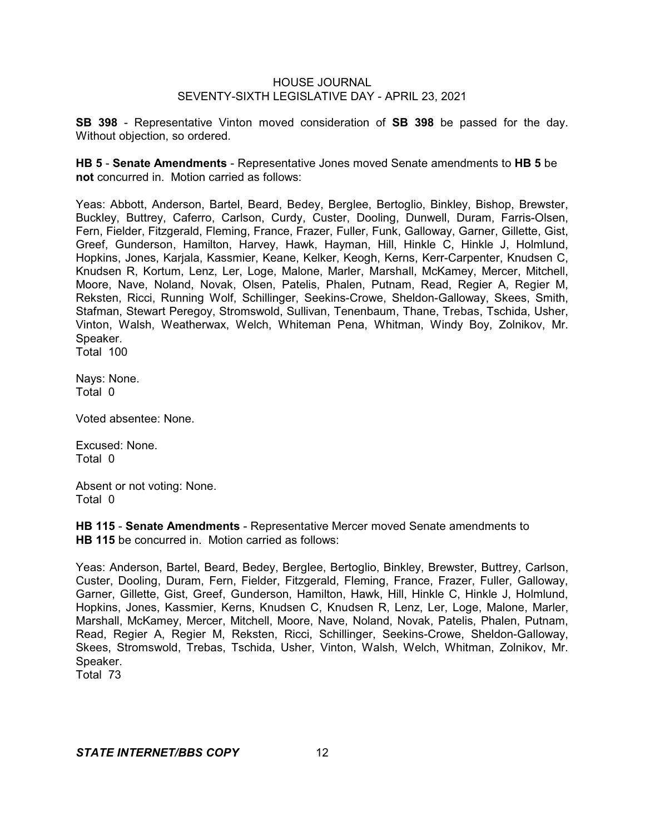**SB 398** - Representative Vinton moved consideration of **SB 398** be passed for the day. Without objection, so ordered.

**HB 5** - **Senate Amendments** - Representative Jones moved Senate amendments to **HB 5** be **not** concurred in. Motion carried as follows:

Yeas: Abbott, Anderson, Bartel, Beard, Bedey, Berglee, Bertoglio, Binkley, Bishop, Brewster, Buckley, Buttrey, Caferro, Carlson, Curdy, Custer, Dooling, Dunwell, Duram, Farris-Olsen, Fern, Fielder, Fitzgerald, Fleming, France, Frazer, Fuller, Funk, Galloway, Garner, Gillette, Gist, Greef, Gunderson, Hamilton, Harvey, Hawk, Hayman, Hill, Hinkle C, Hinkle J, Holmlund, Hopkins, Jones, Karjala, Kassmier, Keane, Kelker, Keogh, Kerns, Kerr-Carpenter, Knudsen C, Knudsen R, Kortum, Lenz, Ler, Loge, Malone, Marler, Marshall, McKamey, Mercer, Mitchell, Moore, Nave, Noland, Novak, Olsen, Patelis, Phalen, Putnam, Read, Regier A, Regier M, Reksten, Ricci, Running Wolf, Schillinger, Seekins-Crowe, Sheldon-Galloway, Skees, Smith, Stafman, Stewart Peregoy, Stromswold, Sullivan, Tenenbaum, Thane, Trebas, Tschida, Usher, Vinton, Walsh, Weatherwax, Welch, Whiteman Pena, Whitman, Windy Boy, Zolnikov, Mr. Speaker. Total 100

Nays: None. Total 0

Voted absentee: None.

Excused: None. Total 0

Absent or not voting: None. Total 0

**HB 115** - **Senate Amendments** - Representative Mercer moved Senate amendments to **HB 115** be concurred in. Motion carried as follows:

Yeas: Anderson, Bartel, Beard, Bedey, Berglee, Bertoglio, Binkley, Brewster, Buttrey, Carlson, Custer, Dooling, Duram, Fern, Fielder, Fitzgerald, Fleming, France, Frazer, Fuller, Galloway, Garner, Gillette, Gist, Greef, Gunderson, Hamilton, Hawk, Hill, Hinkle C, Hinkle J, Holmlund, Hopkins, Jones, Kassmier, Kerns, Knudsen C, Knudsen R, Lenz, Ler, Loge, Malone, Marler, Marshall, McKamey, Mercer, Mitchell, Moore, Nave, Noland, Novak, Patelis, Phalen, Putnam, Read, Regier A, Regier M, Reksten, Ricci, Schillinger, Seekins-Crowe, Sheldon-Galloway, Skees, Stromswold, Trebas, Tschida, Usher, Vinton, Walsh, Welch, Whitman, Zolnikov, Mr. Speaker.

Total 73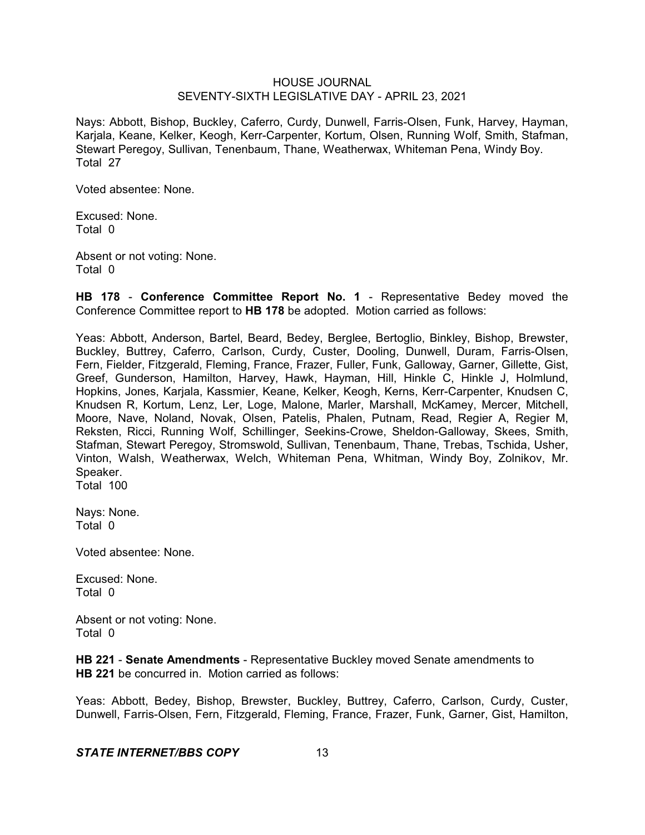Nays: Abbott, Bishop, Buckley, Caferro, Curdy, Dunwell, Farris-Olsen, Funk, Harvey, Hayman, Karjala, Keane, Kelker, Keogh, Kerr-Carpenter, Kortum, Olsen, Running Wolf, Smith, Stafman, Stewart Peregoy, Sullivan, Tenenbaum, Thane, Weatherwax, Whiteman Pena, Windy Boy. Total 27

Voted absentee: None.

Excused: None. Total 0

Absent or not voting: None. Total 0

**HB 178** - **Conference Committee Report No. 1** - Representative Bedey moved the Conference Committee report to **HB 178** be adopted. Motion carried as follows:

Yeas: Abbott, Anderson, Bartel, Beard, Bedey, Berglee, Bertoglio, Binkley, Bishop, Brewster, Buckley, Buttrey, Caferro, Carlson, Curdy, Custer, Dooling, Dunwell, Duram, Farris-Olsen, Fern, Fielder, Fitzgerald, Fleming, France, Frazer, Fuller, Funk, Galloway, Garner, Gillette, Gist, Greef, Gunderson, Hamilton, Harvey, Hawk, Hayman, Hill, Hinkle C, Hinkle J, Holmlund, Hopkins, Jones, Karjala, Kassmier, Keane, Kelker, Keogh, Kerns, Kerr-Carpenter, Knudsen C, Knudsen R, Kortum, Lenz, Ler, Loge, Malone, Marler, Marshall, McKamey, Mercer, Mitchell, Moore, Nave, Noland, Novak, Olsen, Patelis, Phalen, Putnam, Read, Regier A, Regier M, Reksten, Ricci, Running Wolf, Schillinger, Seekins-Crowe, Sheldon-Galloway, Skees, Smith, Stafman, Stewart Peregoy, Stromswold, Sullivan, Tenenbaum, Thane, Trebas, Tschida, Usher, Vinton, Walsh, Weatherwax, Welch, Whiteman Pena, Whitman, Windy Boy, Zolnikov, Mr. Speaker.

Total 100

Nays: None. Total 0

Voted absentee: None.

Excused: None. Total 0

Absent or not voting: None. Total 0

**HB 221** - **Senate Amendments** - Representative Buckley moved Senate amendments to **HB 221** be concurred in. Motion carried as follows:

Yeas: Abbott, Bedey, Bishop, Brewster, Buckley, Buttrey, Caferro, Carlson, Curdy, Custer, Dunwell, Farris-Olsen, Fern, Fitzgerald, Fleming, France, Frazer, Funk, Garner, Gist, Hamilton,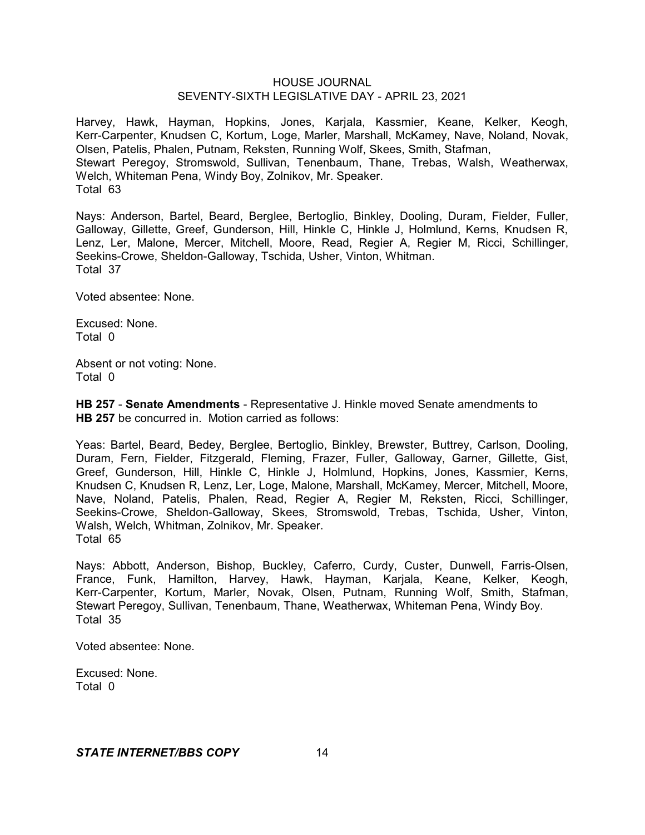Harvey, Hawk, Hayman, Hopkins, Jones, Karjala, Kassmier, Keane, Kelker, Keogh, Kerr-Carpenter, Knudsen C, Kortum, Loge, Marler, Marshall, McKamey, Nave, Noland, Novak, Olsen, Patelis, Phalen, Putnam, Reksten, Running Wolf, Skees, Smith, Stafman, Stewart Peregoy, Stromswold, Sullivan, Tenenbaum, Thane, Trebas, Walsh, Weatherwax, Welch, Whiteman Pena, Windy Boy, Zolnikov, Mr. Speaker. Total 63

Nays: Anderson, Bartel, Beard, Berglee, Bertoglio, Binkley, Dooling, Duram, Fielder, Fuller, Galloway, Gillette, Greef, Gunderson, Hill, Hinkle C, Hinkle J, Holmlund, Kerns, Knudsen R, Lenz, Ler, Malone, Mercer, Mitchell, Moore, Read, Regier A, Regier M, Ricci, Schillinger, Seekins-Crowe, Sheldon-Galloway, Tschida, Usher, Vinton, Whitman. Total 37

Voted absentee: None.

Excused: None. Total 0

Absent or not voting: None. Total 0

**HB 257** - **Senate Amendments** - Representative J. Hinkle moved Senate amendments to **HB 257** be concurred in. Motion carried as follows:

Yeas: Bartel, Beard, Bedey, Berglee, Bertoglio, Binkley, Brewster, Buttrey, Carlson, Dooling, Duram, Fern, Fielder, Fitzgerald, Fleming, Frazer, Fuller, Galloway, Garner, Gillette, Gist, Greef, Gunderson, Hill, Hinkle C, Hinkle J, Holmlund, Hopkins, Jones, Kassmier, Kerns, Knudsen C, Knudsen R, Lenz, Ler, Loge, Malone, Marshall, McKamey, Mercer, Mitchell, Moore, Nave, Noland, Patelis, Phalen, Read, Regier A, Regier M, Reksten, Ricci, Schillinger, Seekins-Crowe, Sheldon-Galloway, Skees, Stromswold, Trebas, Tschida, Usher, Vinton, Walsh, Welch, Whitman, Zolnikov, Mr. Speaker. Total 65

Nays: Abbott, Anderson, Bishop, Buckley, Caferro, Curdy, Custer, Dunwell, Farris-Olsen, France, Funk, Hamilton, Harvey, Hawk, Hayman, Karjala, Keane, Kelker, Keogh, Kerr-Carpenter, Kortum, Marler, Novak, Olsen, Putnam, Running Wolf, Smith, Stafman, Stewart Peregoy, Sullivan, Tenenbaum, Thane, Weatherwax, Whiteman Pena, Windy Boy. Total 35

Voted absentee: None.

Excused: None. Total 0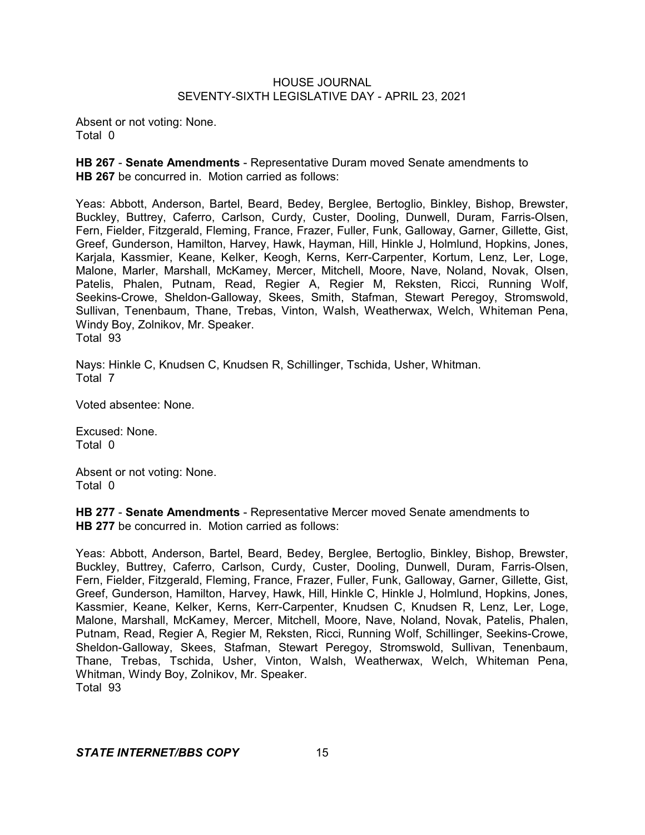Absent or not voting: None. Total 0

**HB 267** - **Senate Amendments** - Representative Duram moved Senate amendments to **HB 267** be concurred in. Motion carried as follows:

Yeas: Abbott, Anderson, Bartel, Beard, Bedey, Berglee, Bertoglio, Binkley, Bishop, Brewster, Buckley, Buttrey, Caferro, Carlson, Curdy, Custer, Dooling, Dunwell, Duram, Farris-Olsen, Fern, Fielder, Fitzgerald, Fleming, France, Frazer, Fuller, Funk, Galloway, Garner, Gillette, Gist, Greef, Gunderson, Hamilton, Harvey, Hawk, Hayman, Hill, Hinkle J, Holmlund, Hopkins, Jones, Karjala, Kassmier, Keane, Kelker, Keogh, Kerns, Kerr-Carpenter, Kortum, Lenz, Ler, Loge, Malone, Marler, Marshall, McKamey, Mercer, Mitchell, Moore, Nave, Noland, Novak, Olsen, Patelis, Phalen, Putnam, Read, Regier A, Regier M, Reksten, Ricci, Running Wolf, Seekins-Crowe, Sheldon-Galloway, Skees, Smith, Stafman, Stewart Peregoy, Stromswold, Sullivan, Tenenbaum, Thane, Trebas, Vinton, Walsh, Weatherwax, Welch, Whiteman Pena, Windy Boy, Zolnikov, Mr. Speaker. Total 93

Nays: Hinkle C, Knudsen C, Knudsen R, Schillinger, Tschida, Usher, Whitman. Total 7

Voted absentee: None.

Excused: None. Total 0

Absent or not voting: None. Total 0

**HB 277** - **Senate Amendments** - Representative Mercer moved Senate amendments to **HB 277** be concurred in. Motion carried as follows:

Yeas: Abbott, Anderson, Bartel, Beard, Bedey, Berglee, Bertoglio, Binkley, Bishop, Brewster, Buckley, Buttrey, Caferro, Carlson, Curdy, Custer, Dooling, Dunwell, Duram, Farris-Olsen, Fern, Fielder, Fitzgerald, Fleming, France, Frazer, Fuller, Funk, Galloway, Garner, Gillette, Gist, Greef, Gunderson, Hamilton, Harvey, Hawk, Hill, Hinkle C, Hinkle J, Holmlund, Hopkins, Jones, Kassmier, Keane, Kelker, Kerns, Kerr-Carpenter, Knudsen C, Knudsen R, Lenz, Ler, Loge, Malone, Marshall, McKamey, Mercer, Mitchell, Moore, Nave, Noland, Novak, Patelis, Phalen, Putnam, Read, Regier A, Regier M, Reksten, Ricci, Running Wolf, Schillinger, Seekins-Crowe, Sheldon-Galloway, Skees, Stafman, Stewart Peregoy, Stromswold, Sullivan, Tenenbaum, Thane, Trebas, Tschida, Usher, Vinton, Walsh, Weatherwax, Welch, Whiteman Pena, Whitman, Windy Boy, Zolnikov, Mr. Speaker. Total 93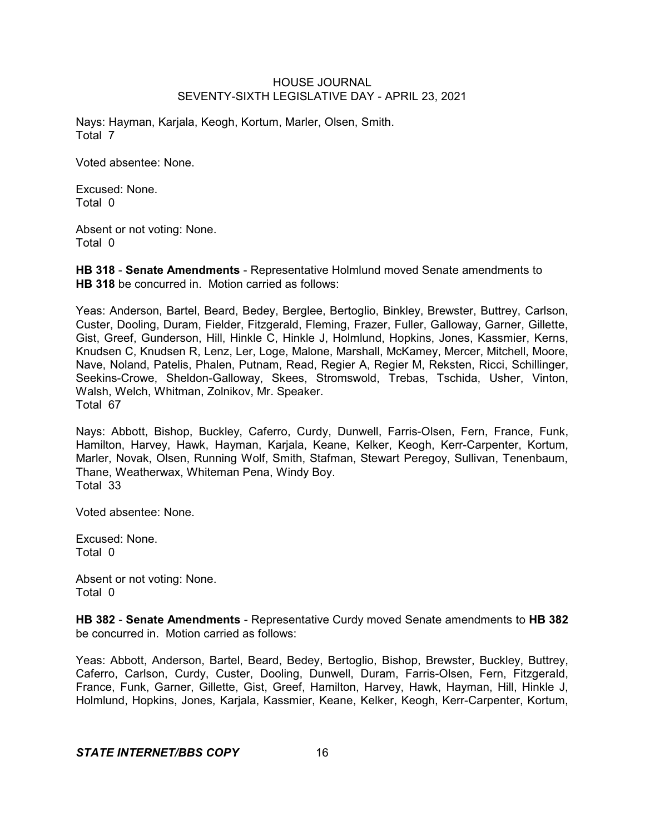Nays: Hayman, Karjala, Keogh, Kortum, Marler, Olsen, Smith. Total 7

Voted absentee: None.

Excused: None. Total 0

Absent or not voting: None. Total 0

**HB 318** - **Senate Amendments** - Representative Holmlund moved Senate amendments to **HB 318** be concurred in. Motion carried as follows:

Yeas: Anderson, Bartel, Beard, Bedey, Berglee, Bertoglio, Binkley, Brewster, Buttrey, Carlson, Custer, Dooling, Duram, Fielder, Fitzgerald, Fleming, Frazer, Fuller, Galloway, Garner, Gillette, Gist, Greef, Gunderson, Hill, Hinkle C, Hinkle J, Holmlund, Hopkins, Jones, Kassmier, Kerns, Knudsen C, Knudsen R, Lenz, Ler, Loge, Malone, Marshall, McKamey, Mercer, Mitchell, Moore, Nave, Noland, Patelis, Phalen, Putnam, Read, Regier A, Regier M, Reksten, Ricci, Schillinger, Seekins-Crowe, Sheldon-Galloway, Skees, Stromswold, Trebas, Tschida, Usher, Vinton, Walsh, Welch, Whitman, Zolnikov, Mr. Speaker. Total 67

Nays: Abbott, Bishop, Buckley, Caferro, Curdy, Dunwell, Farris-Olsen, Fern, France, Funk, Hamilton, Harvey, Hawk, Hayman, Karjala, Keane, Kelker, Keogh, Kerr-Carpenter, Kortum, Marler, Novak, Olsen, Running Wolf, Smith, Stafman, Stewart Peregoy, Sullivan, Tenenbaum, Thane, Weatherwax, Whiteman Pena, Windy Boy. Total 33

Voted absentee: None.

Excused: None. Total 0

Absent or not voting: None. Total 0

**HB 382** - **Senate Amendments** - Representative Curdy moved Senate amendments to **HB 382** be concurred in. Motion carried as follows:

Yeas: Abbott, Anderson, Bartel, Beard, Bedey, Bertoglio, Bishop, Brewster, Buckley, Buttrey, Caferro, Carlson, Curdy, Custer, Dooling, Dunwell, Duram, Farris-Olsen, Fern, Fitzgerald, France, Funk, Garner, Gillette, Gist, Greef, Hamilton, Harvey, Hawk, Hayman, Hill, Hinkle J, Holmlund, Hopkins, Jones, Karjala, Kassmier, Keane, Kelker, Keogh, Kerr-Carpenter, Kortum,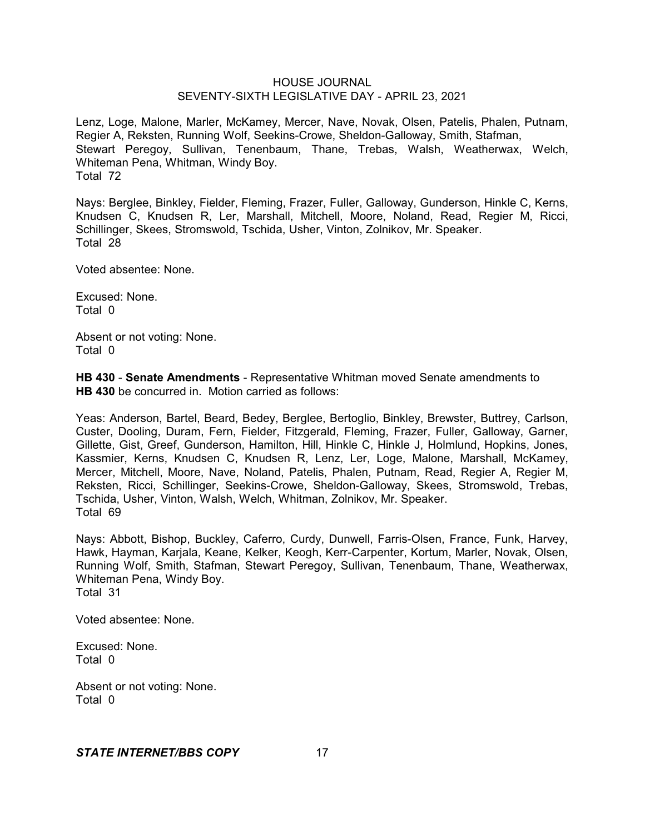Lenz, Loge, Malone, Marler, McKamey, Mercer, Nave, Novak, Olsen, Patelis, Phalen, Putnam, Regier A, Reksten, Running Wolf, Seekins-Crowe, Sheldon-Galloway, Smith, Stafman, Stewart Peregoy, Sullivan, Tenenbaum, Thane, Trebas, Walsh, Weatherwax, Welch, Whiteman Pena, Whitman, Windy Boy. Total 72

Nays: Berglee, Binkley, Fielder, Fleming, Frazer, Fuller, Galloway, Gunderson, Hinkle C, Kerns, Knudsen C, Knudsen R, Ler, Marshall, Mitchell, Moore, Noland, Read, Regier M, Ricci, Schillinger, Skees, Stromswold, Tschida, Usher, Vinton, Zolnikov, Mr. Speaker. Total 28

Voted absentee: None.

Excused: None. Total 0

Absent or not voting: None. Total 0

**HB 430** - **Senate Amendments** - Representative Whitman moved Senate amendments to **HB 430** be concurred in. Motion carried as follows:

Yeas: Anderson, Bartel, Beard, Bedey, Berglee, Bertoglio, Binkley, Brewster, Buttrey, Carlson, Custer, Dooling, Duram, Fern, Fielder, Fitzgerald, Fleming, Frazer, Fuller, Galloway, Garner, Gillette, Gist, Greef, Gunderson, Hamilton, Hill, Hinkle C, Hinkle J, Holmlund, Hopkins, Jones, Kassmier, Kerns, Knudsen C, Knudsen R, Lenz, Ler, Loge, Malone, Marshall, McKamey, Mercer, Mitchell, Moore, Nave, Noland, Patelis, Phalen, Putnam, Read, Regier A, Regier M, Reksten, Ricci, Schillinger, Seekins-Crowe, Sheldon-Galloway, Skees, Stromswold, Trebas, Tschida, Usher, Vinton, Walsh, Welch, Whitman, Zolnikov, Mr. Speaker. Total 69

Nays: Abbott, Bishop, Buckley, Caferro, Curdy, Dunwell, Farris-Olsen, France, Funk, Harvey, Hawk, Hayman, Karjala, Keane, Kelker, Keogh, Kerr-Carpenter, Kortum, Marler, Novak, Olsen, Running Wolf, Smith, Stafman, Stewart Peregoy, Sullivan, Tenenbaum, Thane, Weatherwax, Whiteman Pena, Windy Boy. Total 31

Voted absentee: None.

Excused: None. Total 0

Absent or not voting: None. Total 0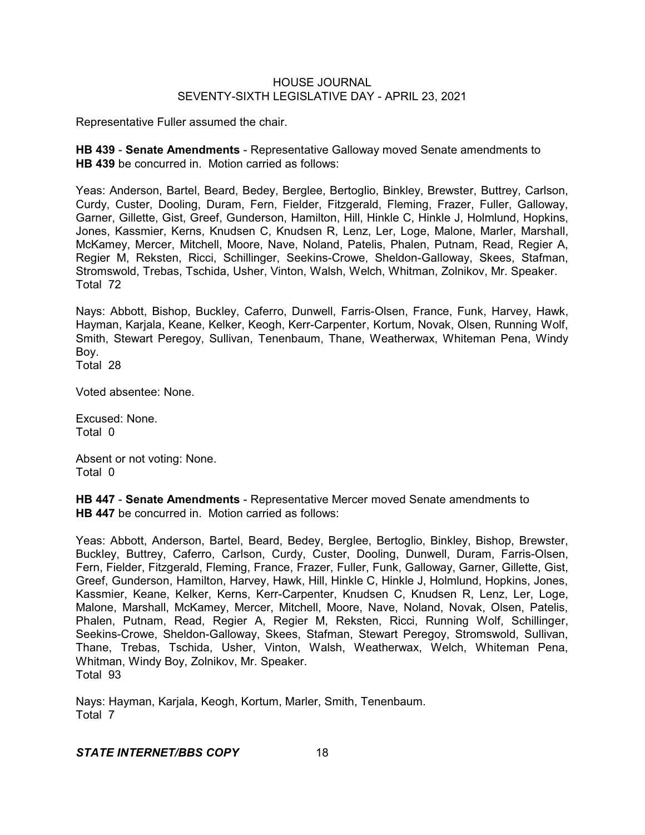Representative Fuller assumed the chair.

**HB 439** - **Senate Amendments** - Representative Galloway moved Senate amendments to **HB 439** be concurred in. Motion carried as follows:

Yeas: Anderson, Bartel, Beard, Bedey, Berglee, Bertoglio, Binkley, Brewster, Buttrey, Carlson, Curdy, Custer, Dooling, Duram, Fern, Fielder, Fitzgerald, Fleming, Frazer, Fuller, Galloway, Garner, Gillette, Gist, Greef, Gunderson, Hamilton, Hill, Hinkle C, Hinkle J, Holmlund, Hopkins, Jones, Kassmier, Kerns, Knudsen C, Knudsen R, Lenz, Ler, Loge, Malone, Marler, Marshall, McKamey, Mercer, Mitchell, Moore, Nave, Noland, Patelis, Phalen, Putnam, Read, Regier A, Regier M, Reksten, Ricci, Schillinger, Seekins-Crowe, Sheldon-Galloway, Skees, Stafman, Stromswold, Trebas, Tschida, Usher, Vinton, Walsh, Welch, Whitman, Zolnikov, Mr. Speaker. Total 72

Nays: Abbott, Bishop, Buckley, Caferro, Dunwell, Farris-Olsen, France, Funk, Harvey, Hawk, Hayman, Karjala, Keane, Kelker, Keogh, Kerr-Carpenter, Kortum, Novak, Olsen, Running Wolf, Smith, Stewart Peregoy, Sullivan, Tenenbaum, Thane, Weatherwax, Whiteman Pena, Windy Boy.

Total 28

Voted absentee: None.

Excused: None. Total 0

Absent or not voting: None. Total 0

**HB 447** - **Senate Amendments** - Representative Mercer moved Senate amendments to **HB 447** be concurred in. Motion carried as follows:

Yeas: Abbott, Anderson, Bartel, Beard, Bedey, Berglee, Bertoglio, Binkley, Bishop, Brewster, Buckley, Buttrey, Caferro, Carlson, Curdy, Custer, Dooling, Dunwell, Duram, Farris-Olsen, Fern, Fielder, Fitzgerald, Fleming, France, Frazer, Fuller, Funk, Galloway, Garner, Gillette, Gist, Greef, Gunderson, Hamilton, Harvey, Hawk, Hill, Hinkle C, Hinkle J, Holmlund, Hopkins, Jones, Kassmier, Keane, Kelker, Kerns, Kerr-Carpenter, Knudsen C, Knudsen R, Lenz, Ler, Loge, Malone, Marshall, McKamey, Mercer, Mitchell, Moore, Nave, Noland, Novak, Olsen, Patelis, Phalen, Putnam, Read, Regier A, Regier M, Reksten, Ricci, Running Wolf, Schillinger, Seekins-Crowe, Sheldon-Galloway, Skees, Stafman, Stewart Peregoy, Stromswold, Sullivan, Thane, Trebas, Tschida, Usher, Vinton, Walsh, Weatherwax, Welch, Whiteman Pena, Whitman, Windy Boy, Zolnikov, Mr. Speaker. Total 93

Nays: Hayman, Karjala, Keogh, Kortum, Marler, Smith, Tenenbaum. Total 7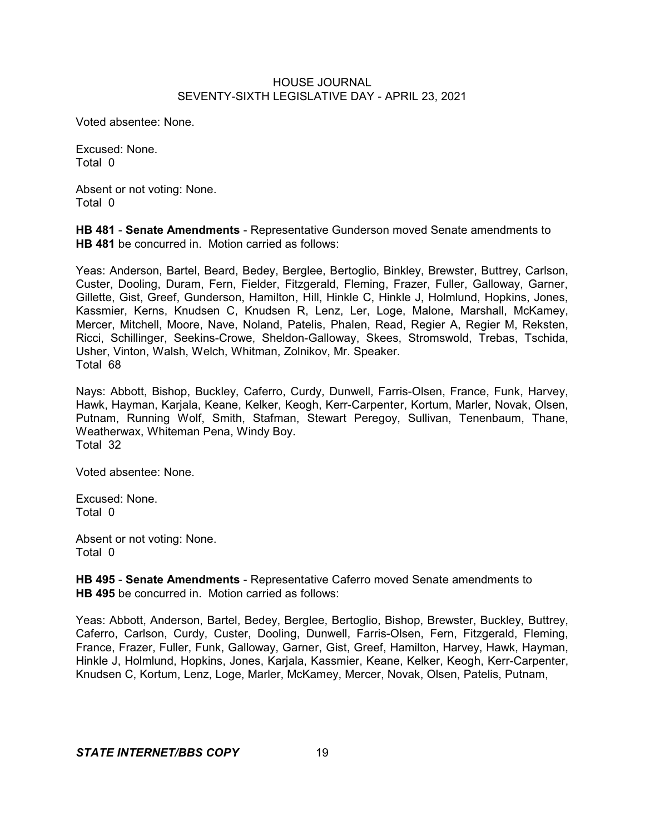Voted absentee: None.

Excused: None. Total 0

Absent or not voting: None. Total 0

**HB 481** - **Senate Amendments** - Representative Gunderson moved Senate amendments to **HB 481** be concurred in. Motion carried as follows:

Yeas: Anderson, Bartel, Beard, Bedey, Berglee, Bertoglio, Binkley, Brewster, Buttrey, Carlson, Custer, Dooling, Duram, Fern, Fielder, Fitzgerald, Fleming, Frazer, Fuller, Galloway, Garner, Gillette, Gist, Greef, Gunderson, Hamilton, Hill, Hinkle C, Hinkle J, Holmlund, Hopkins, Jones, Kassmier, Kerns, Knudsen C, Knudsen R, Lenz, Ler, Loge, Malone, Marshall, McKamey, Mercer, Mitchell, Moore, Nave, Noland, Patelis, Phalen, Read, Regier A, Regier M, Reksten, Ricci, Schillinger, Seekins-Crowe, Sheldon-Galloway, Skees, Stromswold, Trebas, Tschida, Usher, Vinton, Walsh, Welch, Whitman, Zolnikov, Mr. Speaker. Total 68

Nays: Abbott, Bishop, Buckley, Caferro, Curdy, Dunwell, Farris-Olsen, France, Funk, Harvey, Hawk, Hayman, Karjala, Keane, Kelker, Keogh, Kerr-Carpenter, Kortum, Marler, Novak, Olsen, Putnam, Running Wolf, Smith, Stafman, Stewart Peregoy, Sullivan, Tenenbaum, Thane, Weatherwax, Whiteman Pena, Windy Boy. Total 32

Voted absentee: None.

Excused: None. Total 0

Absent or not voting: None. Total 0

**HB 495** - **Senate Amendments** - Representative Caferro moved Senate amendments to **HB 495** be concurred in. Motion carried as follows:

Yeas: Abbott, Anderson, Bartel, Bedey, Berglee, Bertoglio, Bishop, Brewster, Buckley, Buttrey, Caferro, Carlson, Curdy, Custer, Dooling, Dunwell, Farris-Olsen, Fern, Fitzgerald, Fleming, France, Frazer, Fuller, Funk, Galloway, Garner, Gist, Greef, Hamilton, Harvey, Hawk, Hayman, Hinkle J, Holmlund, Hopkins, Jones, Karjala, Kassmier, Keane, Kelker, Keogh, Kerr-Carpenter, Knudsen C, Kortum, Lenz, Loge, Marler, McKamey, Mercer, Novak, Olsen, Patelis, Putnam,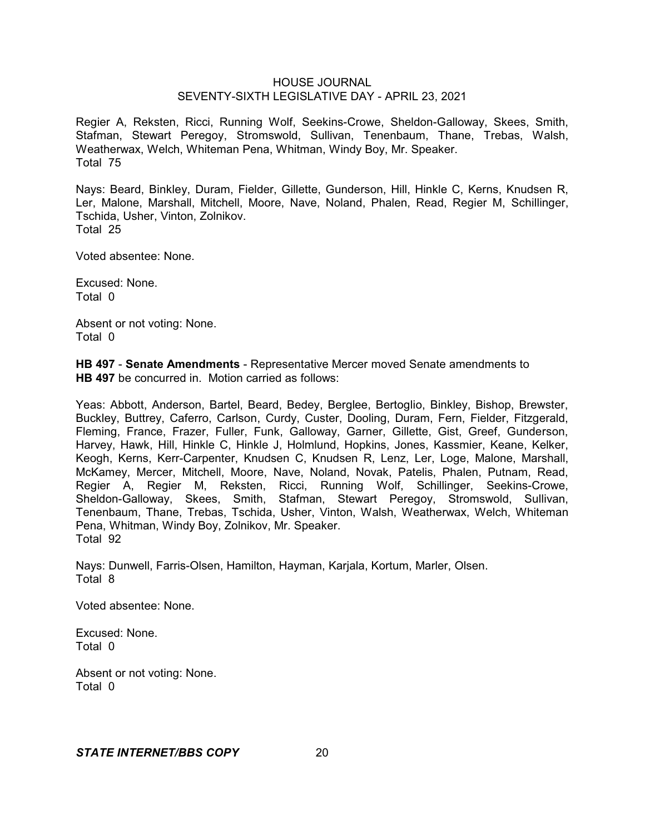Regier A, Reksten, Ricci, Running Wolf, Seekins-Crowe, Sheldon-Galloway, Skees, Smith, Stafman, Stewart Peregoy, Stromswold, Sullivan, Tenenbaum, Thane, Trebas, Walsh, Weatherwax, Welch, Whiteman Pena, Whitman, Windy Boy, Mr. Speaker. Total 75

Nays: Beard, Binkley, Duram, Fielder, Gillette, Gunderson, Hill, Hinkle C, Kerns, Knudsen R, Ler, Malone, Marshall, Mitchell, Moore, Nave, Noland, Phalen, Read, Regier M, Schillinger, Tschida, Usher, Vinton, Zolnikov. Total 25

Voted absentee: None.

Excused: None. Total 0

Absent or not voting: None. Total 0

**HB 497** - **Senate Amendments** - Representative Mercer moved Senate amendments to **HB 497** be concurred in. Motion carried as follows:

Yeas: Abbott, Anderson, Bartel, Beard, Bedey, Berglee, Bertoglio, Binkley, Bishop, Brewster, Buckley, Buttrey, Caferro, Carlson, Curdy, Custer, Dooling, Duram, Fern, Fielder, Fitzgerald, Fleming, France, Frazer, Fuller, Funk, Galloway, Garner, Gillette, Gist, Greef, Gunderson, Harvey, Hawk, Hill, Hinkle C, Hinkle J, Holmlund, Hopkins, Jones, Kassmier, Keane, Kelker, Keogh, Kerns, Kerr-Carpenter, Knudsen C, Knudsen R, Lenz, Ler, Loge, Malone, Marshall, McKamey, Mercer, Mitchell, Moore, Nave, Noland, Novak, Patelis, Phalen, Putnam, Read, Regier A, Regier M, Reksten, Ricci, Running Wolf, Schillinger, Seekins-Crowe, Sheldon-Galloway, Skees, Smith, Stafman, Stewart Peregoy, Stromswold, Sullivan, Tenenbaum, Thane, Trebas, Tschida, Usher, Vinton, Walsh, Weatherwax, Welch, Whiteman Pena, Whitman, Windy Boy, Zolnikov, Mr. Speaker. Total 92

Nays: Dunwell, Farris-Olsen, Hamilton, Hayman, Karjala, Kortum, Marler, Olsen. Total 8

Voted absentee: None.

Excused: None. Total 0

Absent or not voting: None. Total 0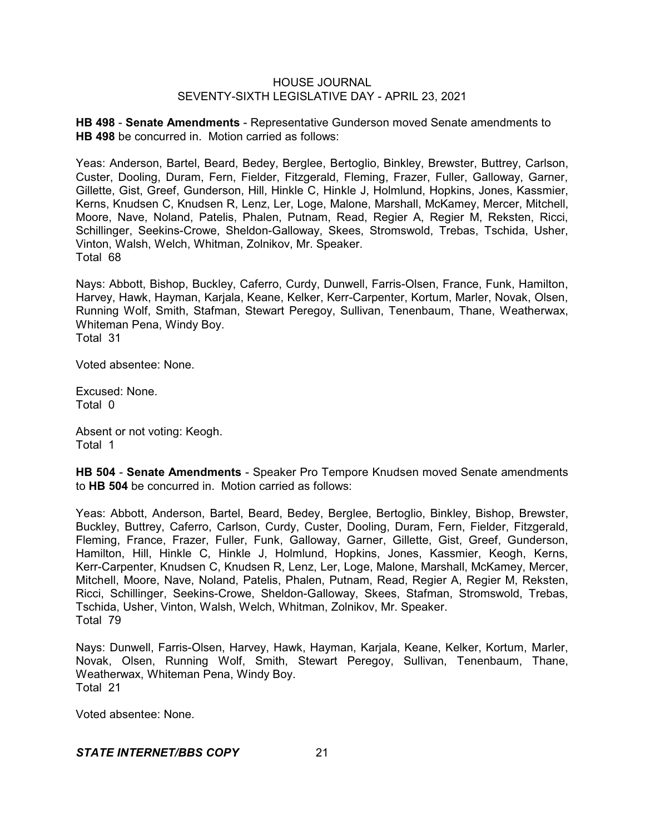**HB 498** - **Senate Amendments** - Representative Gunderson moved Senate amendments to **HB 498** be concurred in. Motion carried as follows:

Yeas: Anderson, Bartel, Beard, Bedey, Berglee, Bertoglio, Binkley, Brewster, Buttrey, Carlson, Custer, Dooling, Duram, Fern, Fielder, Fitzgerald, Fleming, Frazer, Fuller, Galloway, Garner, Gillette, Gist, Greef, Gunderson, Hill, Hinkle C, Hinkle J, Holmlund, Hopkins, Jones, Kassmier, Kerns, Knudsen C, Knudsen R, Lenz, Ler, Loge, Malone, Marshall, McKamey, Mercer, Mitchell, Moore, Nave, Noland, Patelis, Phalen, Putnam, Read, Regier A, Regier M, Reksten, Ricci, Schillinger, Seekins-Crowe, Sheldon-Galloway, Skees, Stromswold, Trebas, Tschida, Usher, Vinton, Walsh, Welch, Whitman, Zolnikov, Mr. Speaker. Total 68

Nays: Abbott, Bishop, Buckley, Caferro, Curdy, Dunwell, Farris-Olsen, France, Funk, Hamilton, Harvey, Hawk, Hayman, Karjala, Keane, Kelker, Kerr-Carpenter, Kortum, Marler, Novak, Olsen, Running Wolf, Smith, Stafman, Stewart Peregoy, Sullivan, Tenenbaum, Thane, Weatherwax, Whiteman Pena, Windy Boy.

Total 31

Voted absentee: None.

Excused: None. Total 0

Absent or not voting: Keogh. Total 1

**HB 504** - **Senate Amendments** - Speaker Pro Tempore Knudsen moved Senate amendments to **HB 504** be concurred in. Motion carried as follows:

Yeas: Abbott, Anderson, Bartel, Beard, Bedey, Berglee, Bertoglio, Binkley, Bishop, Brewster, Buckley, Buttrey, Caferro, Carlson, Curdy, Custer, Dooling, Duram, Fern, Fielder, Fitzgerald, Fleming, France, Frazer, Fuller, Funk, Galloway, Garner, Gillette, Gist, Greef, Gunderson, Hamilton, Hill, Hinkle C, Hinkle J, Holmlund, Hopkins, Jones, Kassmier, Keogh, Kerns, Kerr-Carpenter, Knudsen C, Knudsen R, Lenz, Ler, Loge, Malone, Marshall, McKamey, Mercer, Mitchell, Moore, Nave, Noland, Patelis, Phalen, Putnam, Read, Regier A, Regier M, Reksten, Ricci, Schillinger, Seekins-Crowe, Sheldon-Galloway, Skees, Stafman, Stromswold, Trebas, Tschida, Usher, Vinton, Walsh, Welch, Whitman, Zolnikov, Mr. Speaker. Total 79

Nays: Dunwell, Farris-Olsen, Harvey, Hawk, Hayman, Karjala, Keane, Kelker, Kortum, Marler, Novak, Olsen, Running Wolf, Smith, Stewart Peregoy, Sullivan, Tenenbaum, Thane, Weatherwax, Whiteman Pena, Windy Boy. Total 21

Voted absentee: None.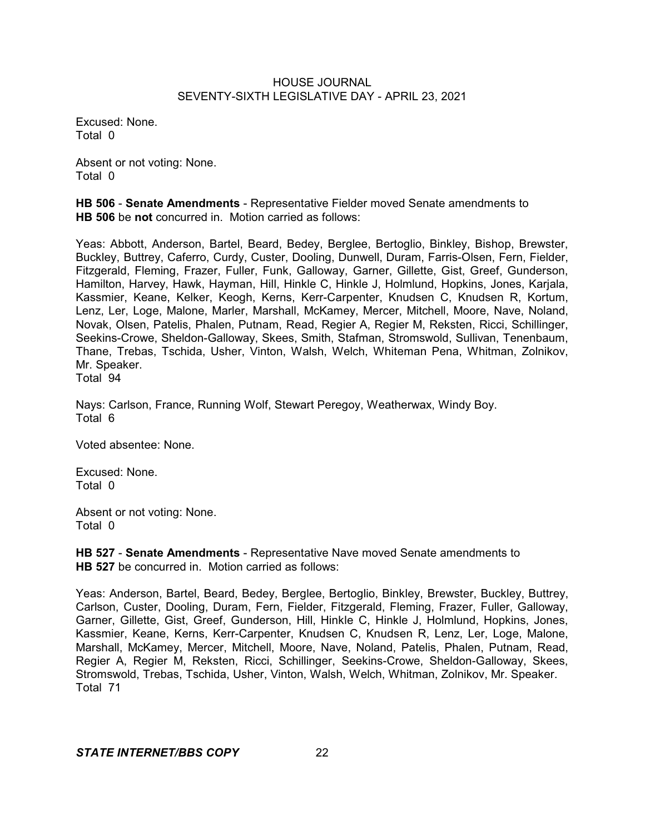Excused: None. Total 0

Absent or not voting: None. Total 0

**HB 506** - **Senate Amendments** - Representative Fielder moved Senate amendments to **HB 506** be **not** concurred in. Motion carried as follows:

Yeas: Abbott, Anderson, Bartel, Beard, Bedey, Berglee, Bertoglio, Binkley, Bishop, Brewster, Buckley, Buttrey, Caferro, Curdy, Custer, Dooling, Dunwell, Duram, Farris-Olsen, Fern, Fielder, Fitzgerald, Fleming, Frazer, Fuller, Funk, Galloway, Garner, Gillette, Gist, Greef, Gunderson, Hamilton, Harvey, Hawk, Hayman, Hill, Hinkle C, Hinkle J, Holmlund, Hopkins, Jones, Karjala, Kassmier, Keane, Kelker, Keogh, Kerns, Kerr-Carpenter, Knudsen C, Knudsen R, Kortum, Lenz, Ler, Loge, Malone, Marler, Marshall, McKamey, Mercer, Mitchell, Moore, Nave, Noland, Novak, Olsen, Patelis, Phalen, Putnam, Read, Regier A, Regier M, Reksten, Ricci, Schillinger, Seekins-Crowe, Sheldon-Galloway, Skees, Smith, Stafman, Stromswold, Sullivan, Tenenbaum, Thane, Trebas, Tschida, Usher, Vinton, Walsh, Welch, Whiteman Pena, Whitman, Zolnikov, Mr. Speaker. Total 94

Nays: Carlson, France, Running Wolf, Stewart Peregoy, Weatherwax, Windy Boy. Total 6

Voted absentee: None.

Excused: None. Total 0

Absent or not voting: None. Total 0

**HB 527** - **Senate Amendments** - Representative Nave moved Senate amendments to **HB 527** be concurred in. Motion carried as follows:

Yeas: Anderson, Bartel, Beard, Bedey, Berglee, Bertoglio, Binkley, Brewster, Buckley, Buttrey, Carlson, Custer, Dooling, Duram, Fern, Fielder, Fitzgerald, Fleming, Frazer, Fuller, Galloway, Garner, Gillette, Gist, Greef, Gunderson, Hill, Hinkle C, Hinkle J, Holmlund, Hopkins, Jones, Kassmier, Keane, Kerns, Kerr-Carpenter, Knudsen C, Knudsen R, Lenz, Ler, Loge, Malone, Marshall, McKamey, Mercer, Mitchell, Moore, Nave, Noland, Patelis, Phalen, Putnam, Read, Regier A, Regier M, Reksten, Ricci, Schillinger, Seekins-Crowe, Sheldon-Galloway, Skees, Stromswold, Trebas, Tschida, Usher, Vinton, Walsh, Welch, Whitman, Zolnikov, Mr. Speaker. Total 71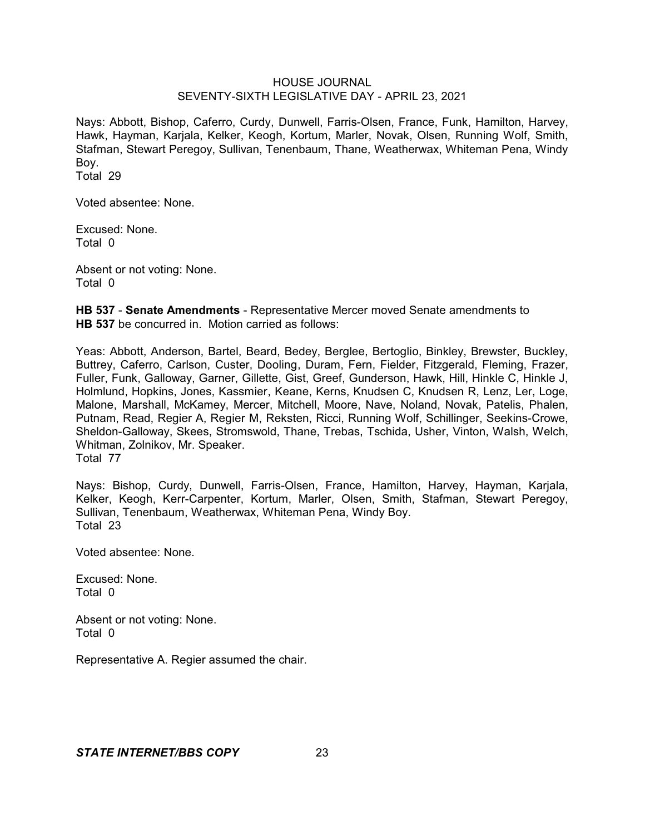Nays: Abbott, Bishop, Caferro, Curdy, Dunwell, Farris-Olsen, France, Funk, Hamilton, Harvey, Hawk, Hayman, Karjala, Kelker, Keogh, Kortum, Marler, Novak, Olsen, Running Wolf, Smith, Stafman, Stewart Peregoy, Sullivan, Tenenbaum, Thane, Weatherwax, Whiteman Pena, Windy Boy.

Total 29

Voted absentee: None.

Excused: None. Total 0

Absent or not voting: None. Total 0

**HB 537** - **Senate Amendments** - Representative Mercer moved Senate amendments to **HB 537** be concurred in. Motion carried as follows:

Yeas: Abbott, Anderson, Bartel, Beard, Bedey, Berglee, Bertoglio, Binkley, Brewster, Buckley, Buttrey, Caferro, Carlson, Custer, Dooling, Duram, Fern, Fielder, Fitzgerald, Fleming, Frazer, Fuller, Funk, Galloway, Garner, Gillette, Gist, Greef, Gunderson, Hawk, Hill, Hinkle C, Hinkle J, Holmlund, Hopkins, Jones, Kassmier, Keane, Kerns, Knudsen C, Knudsen R, Lenz, Ler, Loge, Malone, Marshall, McKamey, Mercer, Mitchell, Moore, Nave, Noland, Novak, Patelis, Phalen, Putnam, Read, Regier A, Regier M, Reksten, Ricci, Running Wolf, Schillinger, Seekins-Crowe, Sheldon-Galloway, Skees, Stromswold, Thane, Trebas, Tschida, Usher, Vinton, Walsh, Welch, Whitman, Zolnikov, Mr. Speaker. Total 77

Nays: Bishop, Curdy, Dunwell, Farris-Olsen, France, Hamilton, Harvey, Hayman, Karjala, Kelker, Keogh, Kerr-Carpenter, Kortum, Marler, Olsen, Smith, Stafman, Stewart Peregoy, Sullivan, Tenenbaum, Weatherwax, Whiteman Pena, Windy Boy. Total 23

Voted absentee: None.

Excused: None. Total 0

Absent or not voting: None. Total 0

Representative A. Regier assumed the chair.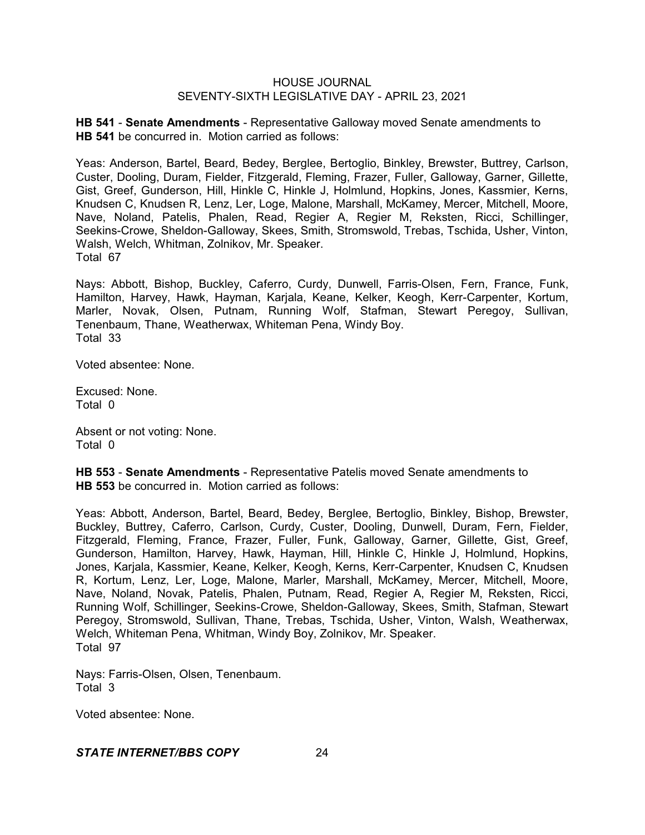**HB 541** - **Senate Amendments** - Representative Galloway moved Senate amendments to **HB 541** be concurred in. Motion carried as follows:

Yeas: Anderson, Bartel, Beard, Bedey, Berglee, Bertoglio, Binkley, Brewster, Buttrey, Carlson, Custer, Dooling, Duram, Fielder, Fitzgerald, Fleming, Frazer, Fuller, Galloway, Garner, Gillette, Gist, Greef, Gunderson, Hill, Hinkle C, Hinkle J, Holmlund, Hopkins, Jones, Kassmier, Kerns, Knudsen C, Knudsen R, Lenz, Ler, Loge, Malone, Marshall, McKamey, Mercer, Mitchell, Moore, Nave, Noland, Patelis, Phalen, Read, Regier A, Regier M, Reksten, Ricci, Schillinger, Seekins-Crowe, Sheldon-Galloway, Skees, Smith, Stromswold, Trebas, Tschida, Usher, Vinton, Walsh, Welch, Whitman, Zolnikov, Mr. Speaker. Total 67

Nays: Abbott, Bishop, Buckley, Caferro, Curdy, Dunwell, Farris-Olsen, Fern, France, Funk, Hamilton, Harvey, Hawk, Hayman, Karjala, Keane, Kelker, Keogh, Kerr-Carpenter, Kortum, Marler, Novak, Olsen, Putnam, Running Wolf, Stafman, Stewart Peregoy, Sullivan, Tenenbaum, Thane, Weatherwax, Whiteman Pena, Windy Boy. Total 33

Voted absentee: None.

Excused: None. Total 0

Absent or not voting: None. Total 0

**HB 553** - **Senate Amendments** - Representative Patelis moved Senate amendments to **HB 553** be concurred in. Motion carried as follows:

Yeas: Abbott, Anderson, Bartel, Beard, Bedey, Berglee, Bertoglio, Binkley, Bishop, Brewster, Buckley, Buttrey, Caferro, Carlson, Curdy, Custer, Dooling, Dunwell, Duram, Fern, Fielder, Fitzgerald, Fleming, France, Frazer, Fuller, Funk, Galloway, Garner, Gillette, Gist, Greef, Gunderson, Hamilton, Harvey, Hawk, Hayman, Hill, Hinkle C, Hinkle J, Holmlund, Hopkins, Jones, Karjala, Kassmier, Keane, Kelker, Keogh, Kerns, Kerr-Carpenter, Knudsen C, Knudsen R, Kortum, Lenz, Ler, Loge, Malone, Marler, Marshall, McKamey, Mercer, Mitchell, Moore, Nave, Noland, Novak, Patelis, Phalen, Putnam, Read, Regier A, Regier M, Reksten, Ricci, Running Wolf, Schillinger, Seekins-Crowe, Sheldon-Galloway, Skees, Smith, Stafman, Stewart Peregoy, Stromswold, Sullivan, Thane, Trebas, Tschida, Usher, Vinton, Walsh, Weatherwax, Welch, Whiteman Pena, Whitman, Windy Boy, Zolnikov, Mr. Speaker. Total 97

Nays: Farris-Olsen, Olsen, Tenenbaum. Total 3

Voted absentee: None.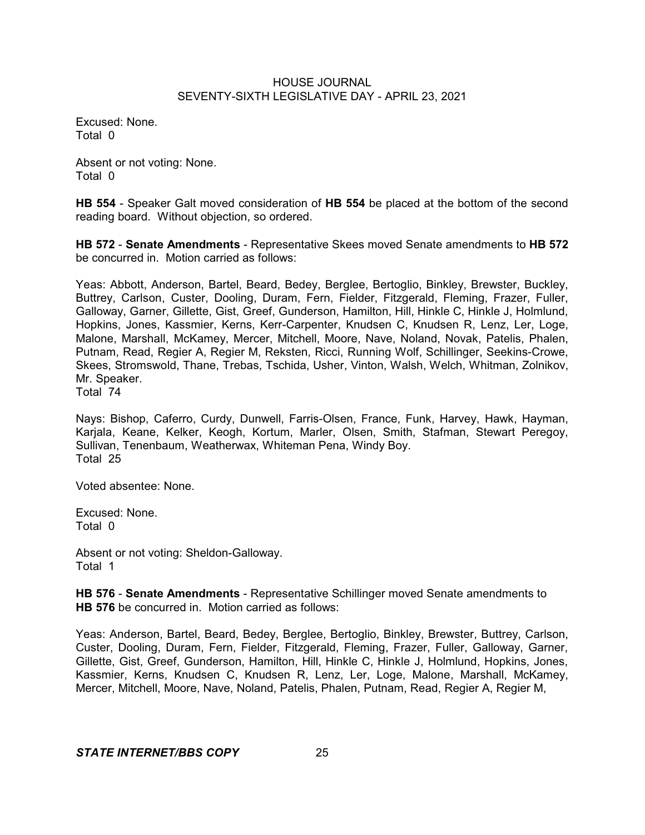Excused: None. Total 0

Absent or not voting: None. Total 0

**HB 554** - Speaker Galt moved consideration of **HB 554** be placed at the bottom of the second reading board. Without objection, so ordered.

**HB 572** - **Senate Amendments** - Representative Skees moved Senate amendments to **HB 572** be concurred in. Motion carried as follows:

Yeas: Abbott, Anderson, Bartel, Beard, Bedey, Berglee, Bertoglio, Binkley, Brewster, Buckley, Buttrey, Carlson, Custer, Dooling, Duram, Fern, Fielder, Fitzgerald, Fleming, Frazer, Fuller, Galloway, Garner, Gillette, Gist, Greef, Gunderson, Hamilton, Hill, Hinkle C, Hinkle J, Holmlund, Hopkins, Jones, Kassmier, Kerns, Kerr-Carpenter, Knudsen C, Knudsen R, Lenz, Ler, Loge, Malone, Marshall, McKamey, Mercer, Mitchell, Moore, Nave, Noland, Novak, Patelis, Phalen, Putnam, Read, Regier A, Regier M, Reksten, Ricci, Running Wolf, Schillinger, Seekins-Crowe, Skees, Stromswold, Thane, Trebas, Tschida, Usher, Vinton, Walsh, Welch, Whitman, Zolnikov, Mr. Speaker.

Total 74

Nays: Bishop, Caferro, Curdy, Dunwell, Farris-Olsen, France, Funk, Harvey, Hawk, Hayman, Karjala, Keane, Kelker, Keogh, Kortum, Marler, Olsen, Smith, Stafman, Stewart Peregoy, Sullivan, Tenenbaum, Weatherwax, Whiteman Pena, Windy Boy. Total 25

Voted absentee: None.

Excused: None. Total 0

Absent or not voting: Sheldon-Galloway. Total 1

**HB 576** - **Senate Amendments** - Representative Schillinger moved Senate amendments to **HB 576** be concurred in. Motion carried as follows:

Yeas: Anderson, Bartel, Beard, Bedey, Berglee, Bertoglio, Binkley, Brewster, Buttrey, Carlson, Custer, Dooling, Duram, Fern, Fielder, Fitzgerald, Fleming, Frazer, Fuller, Galloway, Garner, Gillette, Gist, Greef, Gunderson, Hamilton, Hill, Hinkle C, Hinkle J, Holmlund, Hopkins, Jones, Kassmier, Kerns, Knudsen C, Knudsen R, Lenz, Ler, Loge, Malone, Marshall, McKamey, Mercer, Mitchell, Moore, Nave, Noland, Patelis, Phalen, Putnam, Read, Regier A, Regier M,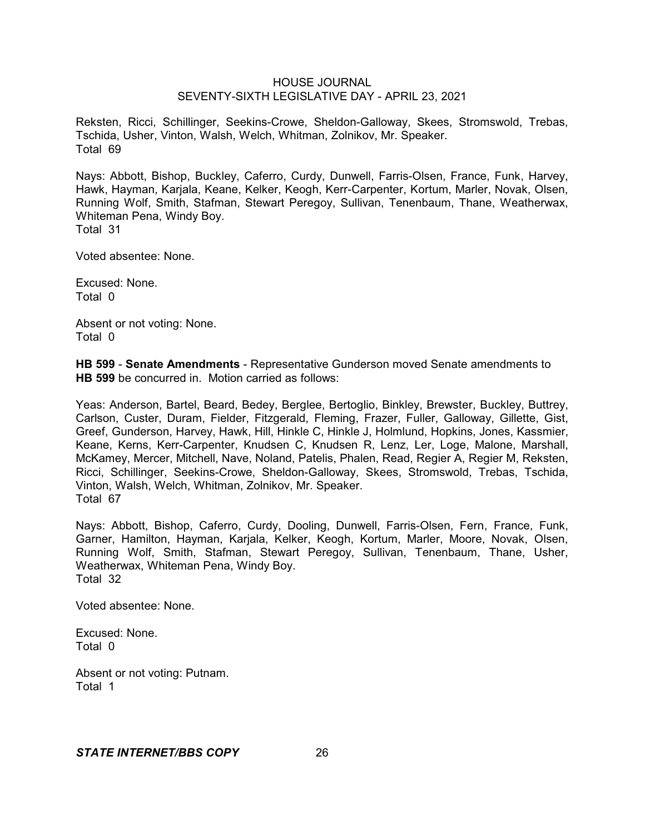Reksten, Ricci, Schillinger, Seekins-Crowe, Sheldon-Galloway, Skees, Stromswold, Trebas, Tschida, Usher, Vinton, Walsh, Welch, Whitman, Zolnikov, Mr. Speaker. Total 69

Nays: Abbott, Bishop, Buckley, Caferro, Curdy, Dunwell, Farris-Olsen, France, Funk, Harvey, Hawk, Hayman, Karjala, Keane, Kelker, Keogh, Kerr-Carpenter, Kortum, Marler, Novak, Olsen, Running Wolf, Smith, Stafman, Stewart Peregoy, Sullivan, Tenenbaum, Thane, Weatherwax, Whiteman Pena, Windy Boy. Total 31

Voted absentee: None.

Excused: None. Total 0

Absent or not voting: None. Total 0

**HB 599** - **Senate Amendments** - Representative Gunderson moved Senate amendments to **HB 599** be concurred in. Motion carried as follows:

Yeas: Anderson, Bartel, Beard, Bedey, Berglee, Bertoglio, Binkley, Brewster, Buckley, Buttrey, Carlson, Custer, Duram, Fielder, Fitzgerald, Fleming, Frazer, Fuller, Galloway, Gillette, Gist, Greef, Gunderson, Harvey, Hawk, Hill, Hinkle C, Hinkle J, Holmlund, Hopkins, Jones, Kassmier, Keane, Kerns, Kerr-Carpenter, Knudsen C, Knudsen R, Lenz, Ler, Loge, Malone, Marshall, McKamey, Mercer, Mitchell, Nave, Noland, Patelis, Phalen, Read, Regier A, Regier M, Reksten, Ricci, Schillinger, Seekins-Crowe, Sheldon-Galloway, Skees, Stromswold, Trebas, Tschida, Vinton, Walsh, Welch, Whitman, Zolnikov, Mr. Speaker. Total 67

Nays: Abbott, Bishop, Caferro, Curdy, Dooling, Dunwell, Farris-Olsen, Fern, France, Funk, Garner, Hamilton, Hayman, Karjala, Kelker, Keogh, Kortum, Marler, Moore, Novak, Olsen, Running Wolf, Smith, Stafman, Stewart Peregoy, Sullivan, Tenenbaum, Thane, Usher, Weatherwax, Whiteman Pena, Windy Boy. Total 32

Voted absentee: None.

Excused: None. Total 0

Absent or not voting: Putnam. Total 1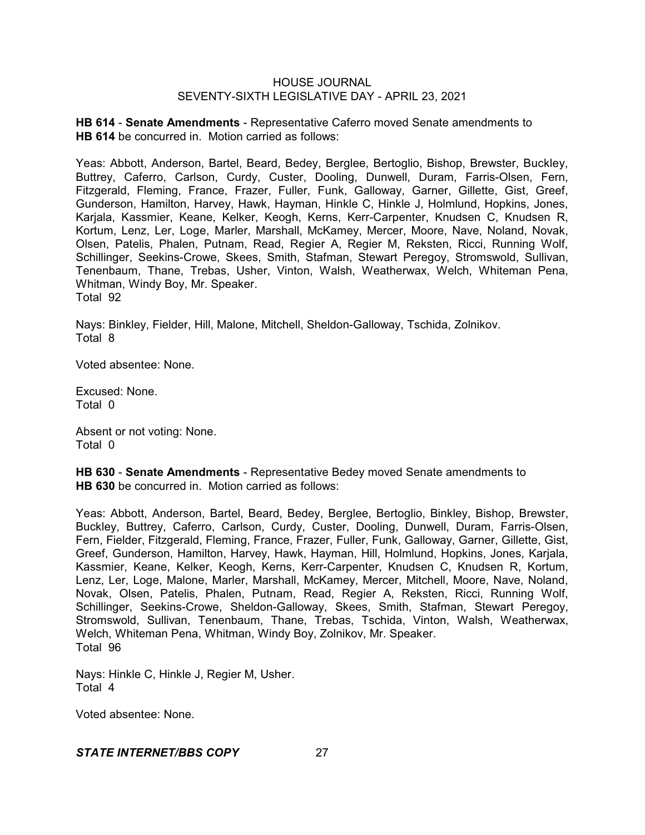**HB 614** - **Senate Amendments** - Representative Caferro moved Senate amendments to **HB 614** be concurred in. Motion carried as follows:

Yeas: Abbott, Anderson, Bartel, Beard, Bedey, Berglee, Bertoglio, Bishop, Brewster, Buckley, Buttrey, Caferro, Carlson, Curdy, Custer, Dooling, Dunwell, Duram, Farris-Olsen, Fern, Fitzgerald, Fleming, France, Frazer, Fuller, Funk, Galloway, Garner, Gillette, Gist, Greef, Gunderson, Hamilton, Harvey, Hawk, Hayman, Hinkle C, Hinkle J, Holmlund, Hopkins, Jones, Karjala, Kassmier, Keane, Kelker, Keogh, Kerns, Kerr-Carpenter, Knudsen C, Knudsen R, Kortum, Lenz, Ler, Loge, Marler, Marshall, McKamey, Mercer, Moore, Nave, Noland, Novak, Olsen, Patelis, Phalen, Putnam, Read, Regier A, Regier M, Reksten, Ricci, Running Wolf, Schillinger, Seekins-Crowe, Skees, Smith, Stafman, Stewart Peregoy, Stromswold, Sullivan, Tenenbaum, Thane, Trebas, Usher, Vinton, Walsh, Weatherwax, Welch, Whiteman Pena, Whitman, Windy Boy, Mr. Speaker. Total 92

Nays: Binkley, Fielder, Hill, Malone, Mitchell, Sheldon-Galloway, Tschida, Zolnikov. Total 8

Voted absentee: None.

Excused: None. Total 0

Absent or not voting: None. Total 0

**HB 630** - **Senate Amendments** - Representative Bedey moved Senate amendments to **HB 630** be concurred in. Motion carried as follows:

Yeas: Abbott, Anderson, Bartel, Beard, Bedey, Berglee, Bertoglio, Binkley, Bishop, Brewster, Buckley, Buttrey, Caferro, Carlson, Curdy, Custer, Dooling, Dunwell, Duram, Farris-Olsen, Fern, Fielder, Fitzgerald, Fleming, France, Frazer, Fuller, Funk, Galloway, Garner, Gillette, Gist, Greef, Gunderson, Hamilton, Harvey, Hawk, Hayman, Hill, Holmlund, Hopkins, Jones, Karjala, Kassmier, Keane, Kelker, Keogh, Kerns, Kerr-Carpenter, Knudsen C, Knudsen R, Kortum, Lenz, Ler, Loge, Malone, Marler, Marshall, McKamey, Mercer, Mitchell, Moore, Nave, Noland, Novak, Olsen, Patelis, Phalen, Putnam, Read, Regier A, Reksten, Ricci, Running Wolf, Schillinger, Seekins-Crowe, Sheldon-Galloway, Skees, Smith, Stafman, Stewart Peregoy, Stromswold, Sullivan, Tenenbaum, Thane, Trebas, Tschida, Vinton, Walsh, Weatherwax, Welch, Whiteman Pena, Whitman, Windy Boy, Zolnikov, Mr. Speaker. Total 96

Nays: Hinkle C, Hinkle J, Regier M, Usher. Total 4

Voted absentee: None.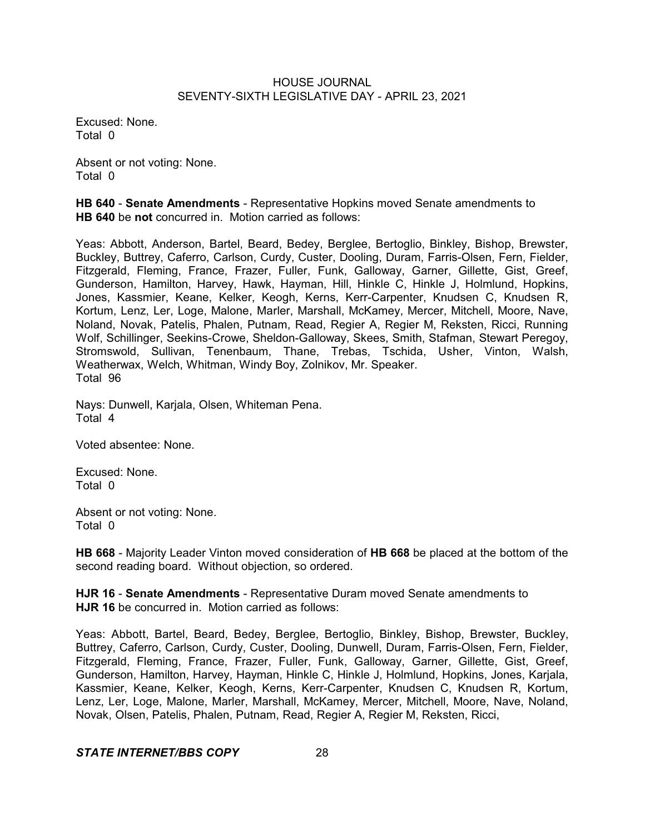Excused: None. Total 0

Absent or not voting: None. Total 0

**HB 640** - **Senate Amendments** - Representative Hopkins moved Senate amendments to **HB 640** be **not** concurred in. Motion carried as follows:

Yeas: Abbott, Anderson, Bartel, Beard, Bedey, Berglee, Bertoglio, Binkley, Bishop, Brewster, Buckley, Buttrey, Caferro, Carlson, Curdy, Custer, Dooling, Duram, Farris-Olsen, Fern, Fielder, Fitzgerald, Fleming, France, Frazer, Fuller, Funk, Galloway, Garner, Gillette, Gist, Greef, Gunderson, Hamilton, Harvey, Hawk, Hayman, Hill, Hinkle C, Hinkle J, Holmlund, Hopkins, Jones, Kassmier, Keane, Kelker, Keogh, Kerns, Kerr-Carpenter, Knudsen C, Knudsen R, Kortum, Lenz, Ler, Loge, Malone, Marler, Marshall, McKamey, Mercer, Mitchell, Moore, Nave, Noland, Novak, Patelis, Phalen, Putnam, Read, Regier A, Regier M, Reksten, Ricci, Running Wolf, Schillinger, Seekins-Crowe, Sheldon-Galloway, Skees, Smith, Stafman, Stewart Peregoy, Stromswold, Sullivan, Tenenbaum, Thane, Trebas, Tschida, Usher, Vinton, Walsh, Weatherwax, Welch, Whitman, Windy Boy, Zolnikov, Mr. Speaker. Total 96

Nays: Dunwell, Karjala, Olsen, Whiteman Pena. Total 4

Voted absentee: None.

Excused: None. Total 0

Absent or not voting: None. Total 0

**HB 668** - Majority Leader Vinton moved consideration of **HB 668** be placed at the bottom of the second reading board. Without objection, so ordered.

**HJR 16** - **Senate Amendments** - Representative Duram moved Senate amendments to **HJR 16** be concurred in. Motion carried as follows:

Yeas: Abbott, Bartel, Beard, Bedey, Berglee, Bertoglio, Binkley, Bishop, Brewster, Buckley, Buttrey, Caferro, Carlson, Curdy, Custer, Dooling, Dunwell, Duram, Farris-Olsen, Fern, Fielder, Fitzgerald, Fleming, France, Frazer, Fuller, Funk, Galloway, Garner, Gillette, Gist, Greef, Gunderson, Hamilton, Harvey, Hayman, Hinkle C, Hinkle J, Holmlund, Hopkins, Jones, Karjala, Kassmier, Keane, Kelker, Keogh, Kerns, Kerr-Carpenter, Knudsen C, Knudsen R, Kortum, Lenz, Ler, Loge, Malone, Marler, Marshall, McKamey, Mercer, Mitchell, Moore, Nave, Noland, Novak, Olsen, Patelis, Phalen, Putnam, Read, Regier A, Regier M, Reksten, Ricci,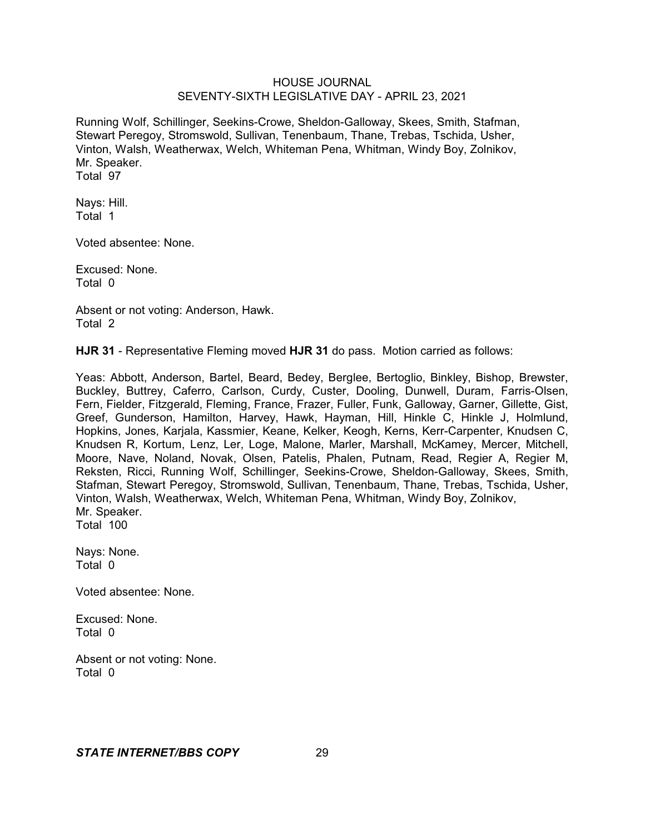Running Wolf, Schillinger, Seekins-Crowe, Sheldon-Galloway, Skees, Smith, Stafman, Stewart Peregoy, Stromswold, Sullivan, Tenenbaum, Thane, Trebas, Tschida, Usher, Vinton, Walsh, Weatherwax, Welch, Whiteman Pena, Whitman, Windy Boy, Zolnikov, Mr. Speaker. Total 97

Nays: Hill. Total 1

Voted absentee: None.

Excused: None. Total 0

Absent or not voting: Anderson, Hawk. Total 2

**HJR 31** - Representative Fleming moved **HJR 31** do pass. Motion carried as follows:

Yeas: Abbott, Anderson, Bartel, Beard, Bedey, Berglee, Bertoglio, Binkley, Bishop, Brewster, Buckley, Buttrey, Caferro, Carlson, Curdy, Custer, Dooling, Dunwell, Duram, Farris-Olsen, Fern, Fielder, Fitzgerald, Fleming, France, Frazer, Fuller, Funk, Galloway, Garner, Gillette, Gist, Greef, Gunderson, Hamilton, Harvey, Hawk, Hayman, Hill, Hinkle C, Hinkle J, Holmlund, Hopkins, Jones, Karjala, Kassmier, Keane, Kelker, Keogh, Kerns, Kerr-Carpenter, Knudsen C, Knudsen R, Kortum, Lenz, Ler, Loge, Malone, Marler, Marshall, McKamey, Mercer, Mitchell, Moore, Nave, Noland, Novak, Olsen, Patelis, Phalen, Putnam, Read, Regier A, Regier M, Reksten, Ricci, Running Wolf, Schillinger, Seekins-Crowe, Sheldon-Galloway, Skees, Smith, Stafman, Stewart Peregoy, Stromswold, Sullivan, Tenenbaum, Thane, Trebas, Tschida, Usher, Vinton, Walsh, Weatherwax, Welch, Whiteman Pena, Whitman, Windy Boy, Zolnikov, Mr. Speaker. Total 100

Nays: None. Total 0

Voted absentee: None.

Excused: None. Total 0

Absent or not voting: None. Total 0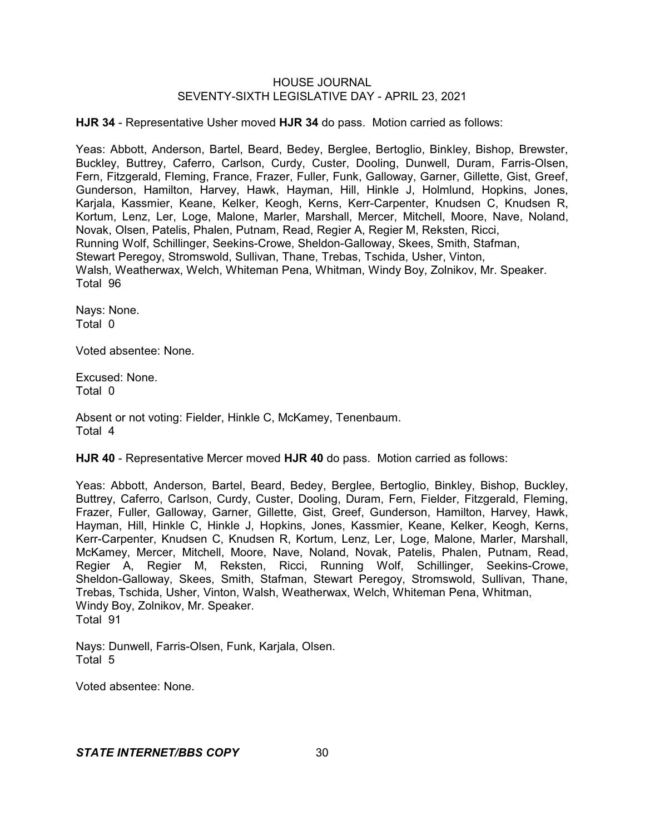**HJR 34** - Representative Usher moved **HJR 34** do pass. Motion carried as follows:

Yeas: Abbott, Anderson, Bartel, Beard, Bedey, Berglee, Bertoglio, Binkley, Bishop, Brewster, Buckley, Buttrey, Caferro, Carlson, Curdy, Custer, Dooling, Dunwell, Duram, Farris-Olsen, Fern, Fitzgerald, Fleming, France, Frazer, Fuller, Funk, Galloway, Garner, Gillette, Gist, Greef, Gunderson, Hamilton, Harvey, Hawk, Hayman, Hill, Hinkle J, Holmlund, Hopkins, Jones, Karjala, Kassmier, Keane, Kelker, Keogh, Kerns, Kerr-Carpenter, Knudsen C, Knudsen R, Kortum, Lenz, Ler, Loge, Malone, Marler, Marshall, Mercer, Mitchell, Moore, Nave, Noland, Novak, Olsen, Patelis, Phalen, Putnam, Read, Regier A, Regier M, Reksten, Ricci, Running Wolf, Schillinger, Seekins-Crowe, Sheldon-Galloway, Skees, Smith, Stafman, Stewart Peregoy, Stromswold, Sullivan, Thane, Trebas, Tschida, Usher, Vinton, Walsh, Weatherwax, Welch, Whiteman Pena, Whitman, Windy Boy, Zolnikov, Mr. Speaker. Total 96

Nays: None. Total 0

Voted absentee: None.

Excused: None. Total 0

Absent or not voting: Fielder, Hinkle C, McKamey, Tenenbaum. Total 4

**HJR 40** - Representative Mercer moved **HJR 40** do pass. Motion carried as follows:

Yeas: Abbott, Anderson, Bartel, Beard, Bedey, Berglee, Bertoglio, Binkley, Bishop, Buckley, Buttrey, Caferro, Carlson, Curdy, Custer, Dooling, Duram, Fern, Fielder, Fitzgerald, Fleming, Frazer, Fuller, Galloway, Garner, Gillette, Gist, Greef, Gunderson, Hamilton, Harvey, Hawk, Hayman, Hill, Hinkle C, Hinkle J, Hopkins, Jones, Kassmier, Keane, Kelker, Keogh, Kerns, Kerr-Carpenter, Knudsen C, Knudsen R, Kortum, Lenz, Ler, Loge, Malone, Marler, Marshall, McKamey, Mercer, Mitchell, Moore, Nave, Noland, Novak, Patelis, Phalen, Putnam, Read, Regier A, Regier M, Reksten, Ricci, Running Wolf, Schillinger, Seekins-Crowe, Sheldon-Galloway, Skees, Smith, Stafman, Stewart Peregoy, Stromswold, Sullivan, Thane, Trebas, Tschida, Usher, Vinton, Walsh, Weatherwax, Welch, Whiteman Pena, Whitman, Windy Boy, Zolnikov, Mr. Speaker. Total 91

Nays: Dunwell, Farris-Olsen, Funk, Karjala, Olsen. Total 5

Voted absentee: None.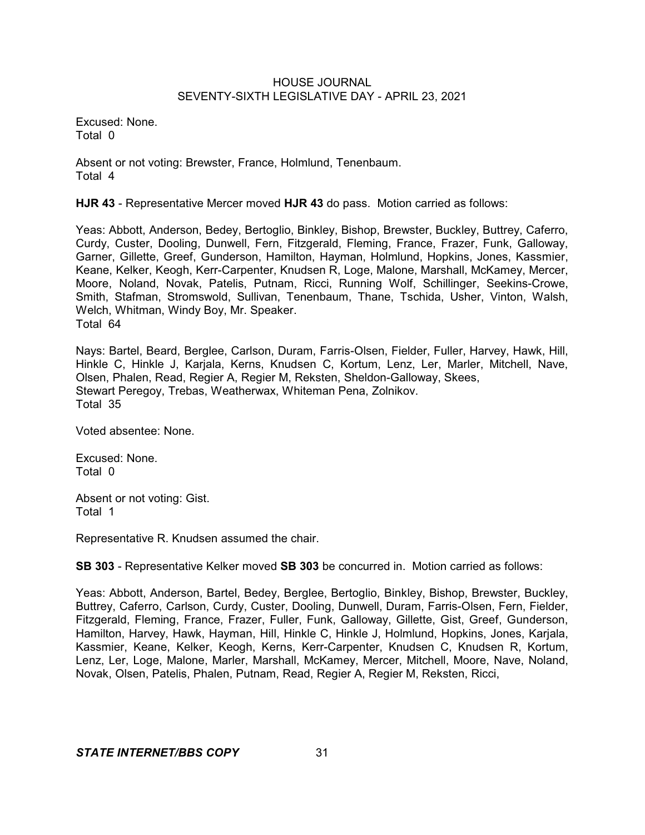Excused: None. Total 0

Absent or not voting: Brewster, France, Holmlund, Tenenbaum. Total 4

**HJR 43** - Representative Mercer moved **HJR 43** do pass. Motion carried as follows:

Yeas: Abbott, Anderson, Bedey, Bertoglio, Binkley, Bishop, Brewster, Buckley, Buttrey, Caferro, Curdy, Custer, Dooling, Dunwell, Fern, Fitzgerald, Fleming, France, Frazer, Funk, Galloway, Garner, Gillette, Greef, Gunderson, Hamilton, Hayman, Holmlund, Hopkins, Jones, Kassmier, Keane, Kelker, Keogh, Kerr-Carpenter, Knudsen R, Loge, Malone, Marshall, McKamey, Mercer, Moore, Noland, Novak, Patelis, Putnam, Ricci, Running Wolf, Schillinger, Seekins-Crowe, Smith, Stafman, Stromswold, Sullivan, Tenenbaum, Thane, Tschida, Usher, Vinton, Walsh, Welch, Whitman, Windy Boy, Mr. Speaker. Total 64

Nays: Bartel, Beard, Berglee, Carlson, Duram, Farris-Olsen, Fielder, Fuller, Harvey, Hawk, Hill, Hinkle C, Hinkle J, Karjala, Kerns, Knudsen C, Kortum, Lenz, Ler, Marler, Mitchell, Nave, Olsen, Phalen, Read, Regier A, Regier M, Reksten, Sheldon-Galloway, Skees, Stewart Peregoy, Trebas, Weatherwax, Whiteman Pena, Zolnikov. Total 35

Voted absentee: None.

Excused: None. Total 0

Absent or not voting: Gist. Total 1

Representative R. Knudsen assumed the chair.

**SB 303** - Representative Kelker moved **SB 303** be concurred in. Motion carried as follows:

Yeas: Abbott, Anderson, Bartel, Bedey, Berglee, Bertoglio, Binkley, Bishop, Brewster, Buckley, Buttrey, Caferro, Carlson, Curdy, Custer, Dooling, Dunwell, Duram, Farris-Olsen, Fern, Fielder, Fitzgerald, Fleming, France, Frazer, Fuller, Funk, Galloway, Gillette, Gist, Greef, Gunderson, Hamilton, Harvey, Hawk, Hayman, Hill, Hinkle C, Hinkle J, Holmlund, Hopkins, Jones, Karjala, Kassmier, Keane, Kelker, Keogh, Kerns, Kerr-Carpenter, Knudsen C, Knudsen R, Kortum, Lenz, Ler, Loge, Malone, Marler, Marshall, McKamey, Mercer, Mitchell, Moore, Nave, Noland, Novak, Olsen, Patelis, Phalen, Putnam, Read, Regier A, Regier M, Reksten, Ricci,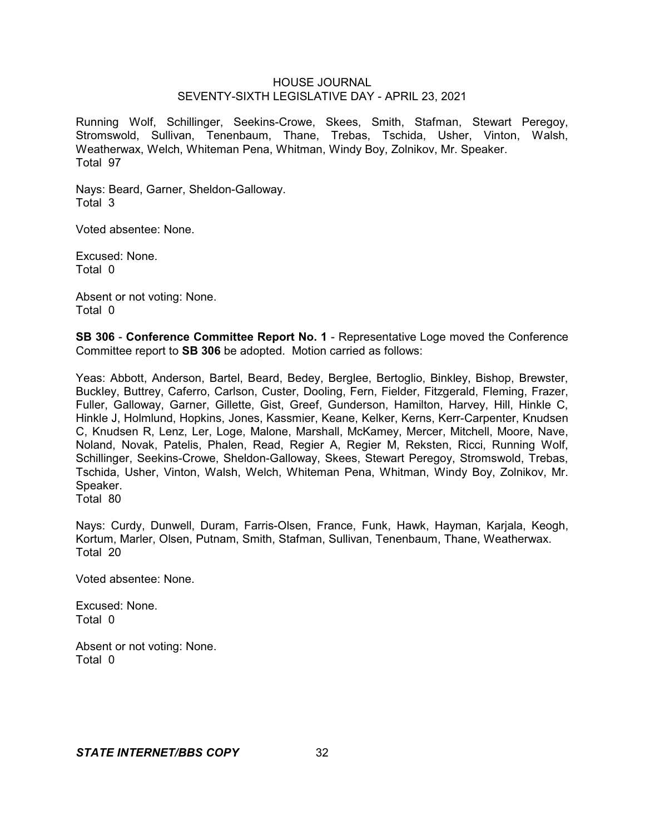Running Wolf, Schillinger, Seekins-Crowe, Skees, Smith, Stafman, Stewart Peregoy, Stromswold, Sullivan, Tenenbaum, Thane, Trebas, Tschida, Usher, Vinton, Walsh, Weatherwax, Welch, Whiteman Pena, Whitman, Windy Boy, Zolnikov, Mr. Speaker. Total 97

Nays: Beard, Garner, Sheldon-Galloway. Total 3

Voted absentee: None.

Excused: None. Total 0

Absent or not voting: None. Total 0

**SB 306** - **Conference Committee Report No. 1** - Representative Loge moved the Conference Committee report to **SB 306** be adopted. Motion carried as follows:

Yeas: Abbott, Anderson, Bartel, Beard, Bedey, Berglee, Bertoglio, Binkley, Bishop, Brewster, Buckley, Buttrey, Caferro, Carlson, Custer, Dooling, Fern, Fielder, Fitzgerald, Fleming, Frazer, Fuller, Galloway, Garner, Gillette, Gist, Greef, Gunderson, Hamilton, Harvey, Hill, Hinkle C, Hinkle J, Holmlund, Hopkins, Jones, Kassmier, Keane, Kelker, Kerns, Kerr-Carpenter, Knudsen C, Knudsen R, Lenz, Ler, Loge, Malone, Marshall, McKamey, Mercer, Mitchell, Moore, Nave, Noland, Novak, Patelis, Phalen, Read, Regier A, Regier M, Reksten, Ricci, Running Wolf, Schillinger, Seekins-Crowe, Sheldon-Galloway, Skees, Stewart Peregoy, Stromswold, Trebas, Tschida, Usher, Vinton, Walsh, Welch, Whiteman Pena, Whitman, Windy Boy, Zolnikov, Mr. Speaker.

Total 80

Nays: Curdy, Dunwell, Duram, Farris-Olsen, France, Funk, Hawk, Hayman, Karjala, Keogh, Kortum, Marler, Olsen, Putnam, Smith, Stafman, Sullivan, Tenenbaum, Thane, Weatherwax. Total 20

Voted absentee: None.

Excused: None. Total 0

Absent or not voting: None. Total 0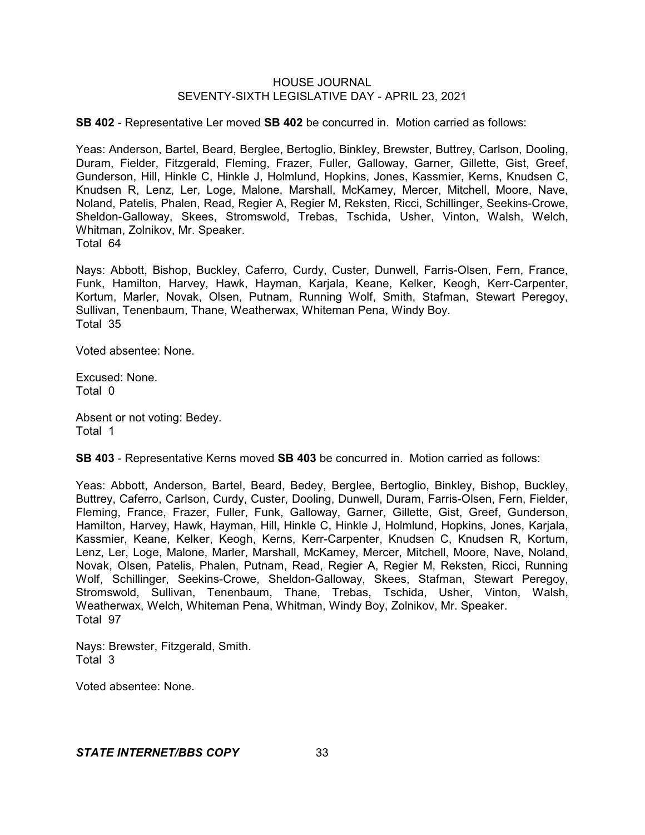**SB 402** - Representative Ler moved **SB 402** be concurred in. Motion carried as follows:

Yeas: Anderson, Bartel, Beard, Berglee, Bertoglio, Binkley, Brewster, Buttrey, Carlson, Dooling, Duram, Fielder, Fitzgerald, Fleming, Frazer, Fuller, Galloway, Garner, Gillette, Gist, Greef, Gunderson, Hill, Hinkle C, Hinkle J, Holmlund, Hopkins, Jones, Kassmier, Kerns, Knudsen C, Knudsen R, Lenz, Ler, Loge, Malone, Marshall, McKamey, Mercer, Mitchell, Moore, Nave, Noland, Patelis, Phalen, Read, Regier A, Regier M, Reksten, Ricci, Schillinger, Seekins-Crowe, Sheldon-Galloway, Skees, Stromswold, Trebas, Tschida, Usher, Vinton, Walsh, Welch, Whitman, Zolnikov, Mr. Speaker. Total 64

Nays: Abbott, Bishop, Buckley, Caferro, Curdy, Custer, Dunwell, Farris-Olsen, Fern, France, Funk, Hamilton, Harvey, Hawk, Hayman, Karjala, Keane, Kelker, Keogh, Kerr-Carpenter, Kortum, Marler, Novak, Olsen, Putnam, Running Wolf, Smith, Stafman, Stewart Peregoy, Sullivan, Tenenbaum, Thane, Weatherwax, Whiteman Pena, Windy Boy. Total 35

Voted absentee: None.

Excused: None. Total 0

Absent or not voting: Bedey. Total 1

**SB 403** - Representative Kerns moved **SB 403** be concurred in. Motion carried as follows:

Yeas: Abbott, Anderson, Bartel, Beard, Bedey, Berglee, Bertoglio, Binkley, Bishop, Buckley, Buttrey, Caferro, Carlson, Curdy, Custer, Dooling, Dunwell, Duram, Farris-Olsen, Fern, Fielder, Fleming, France, Frazer, Fuller, Funk, Galloway, Garner, Gillette, Gist, Greef, Gunderson, Hamilton, Harvey, Hawk, Hayman, Hill, Hinkle C, Hinkle J, Holmlund, Hopkins, Jones, Karjala, Kassmier, Keane, Kelker, Keogh, Kerns, Kerr-Carpenter, Knudsen C, Knudsen R, Kortum, Lenz, Ler, Loge, Malone, Marler, Marshall, McKamey, Mercer, Mitchell, Moore, Nave, Noland, Novak, Olsen, Patelis, Phalen, Putnam, Read, Regier A, Regier M, Reksten, Ricci, Running Wolf, Schillinger, Seekins-Crowe, Sheldon-Galloway, Skees, Stafman, Stewart Peregoy, Stromswold, Sullivan, Tenenbaum, Thane, Trebas, Tschida, Usher, Vinton, Walsh, Weatherwax, Welch, Whiteman Pena, Whitman, Windy Boy, Zolnikov, Mr. Speaker. Total 97

Nays: Brewster, Fitzgerald, Smith. Total 3

Voted absentee: None.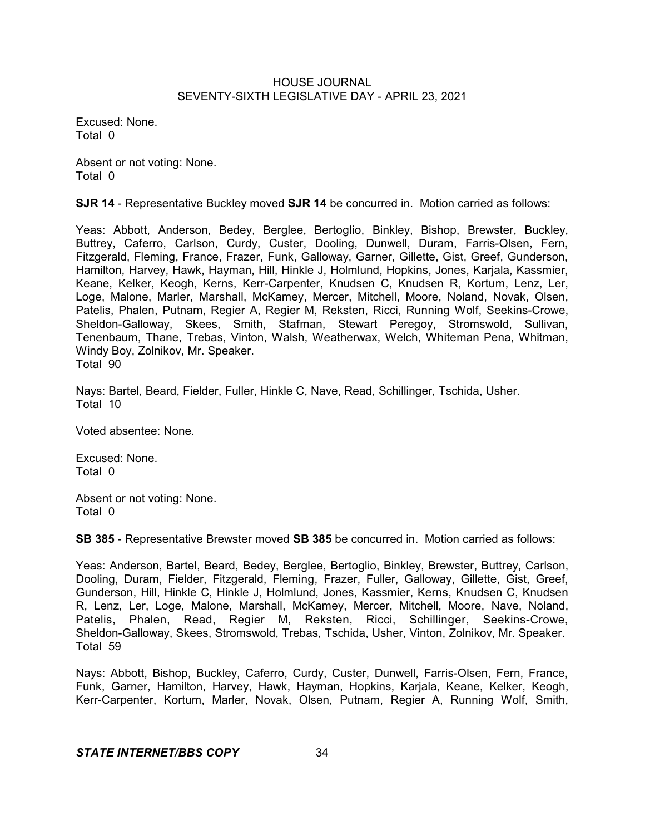Excused: None. Total 0

Absent or not voting: None. Total 0

**SJR 14** - Representative Buckley moved **SJR 14** be concurred in. Motion carried as follows:

Yeas: Abbott, Anderson, Bedey, Berglee, Bertoglio, Binkley, Bishop, Brewster, Buckley, Buttrey, Caferro, Carlson, Curdy, Custer, Dooling, Dunwell, Duram, Farris-Olsen, Fern, Fitzgerald, Fleming, France, Frazer, Funk, Galloway, Garner, Gillette, Gist, Greef, Gunderson, Hamilton, Harvey, Hawk, Hayman, Hill, Hinkle J, Holmlund, Hopkins, Jones, Karjala, Kassmier, Keane, Kelker, Keogh, Kerns, Kerr-Carpenter, Knudsen C, Knudsen R, Kortum, Lenz, Ler, Loge, Malone, Marler, Marshall, McKamey, Mercer, Mitchell, Moore, Noland, Novak, Olsen, Patelis, Phalen, Putnam, Regier A, Regier M, Reksten, Ricci, Running Wolf, Seekins-Crowe, Sheldon-Galloway, Skees, Smith, Stafman, Stewart Peregoy, Stromswold, Sullivan, Tenenbaum, Thane, Trebas, Vinton, Walsh, Weatherwax, Welch, Whiteman Pena, Whitman, Windy Boy, Zolnikov, Mr. Speaker. Total 90

Nays: Bartel, Beard, Fielder, Fuller, Hinkle C, Nave, Read, Schillinger, Tschida, Usher. Total 10

Voted absentee: None.

Excused: None. Total 0

Absent or not voting: None. Total 0

**SB 385** - Representative Brewster moved **SB 385** be concurred in. Motion carried as follows:

Yeas: Anderson, Bartel, Beard, Bedey, Berglee, Bertoglio, Binkley, Brewster, Buttrey, Carlson, Dooling, Duram, Fielder, Fitzgerald, Fleming, Frazer, Fuller, Galloway, Gillette, Gist, Greef, Gunderson, Hill, Hinkle C, Hinkle J, Holmlund, Jones, Kassmier, Kerns, Knudsen C, Knudsen R, Lenz, Ler, Loge, Malone, Marshall, McKamey, Mercer, Mitchell, Moore, Nave, Noland, Patelis, Phalen, Read, Regier M, Reksten, Ricci, Schillinger, Seekins-Crowe, Sheldon-Galloway, Skees, Stromswold, Trebas, Tschida, Usher, Vinton, Zolnikov, Mr. Speaker. Total 59

Nays: Abbott, Bishop, Buckley, Caferro, Curdy, Custer, Dunwell, Farris-Olsen, Fern, France, Funk, Garner, Hamilton, Harvey, Hawk, Hayman, Hopkins, Karjala, Keane, Kelker, Keogh, Kerr-Carpenter, Kortum, Marler, Novak, Olsen, Putnam, Regier A, Running Wolf, Smith,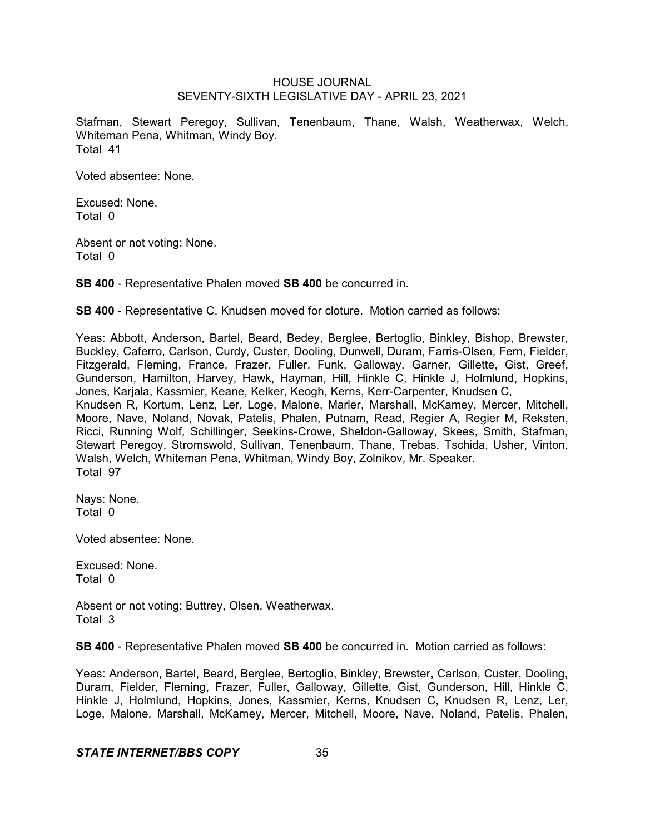Stafman, Stewart Peregoy, Sullivan, Tenenbaum, Thane, Walsh, Weatherwax, Welch, Whiteman Pena, Whitman, Windy Boy. Total 41

Voted absentee: None.

Excused: None. Total 0

Absent or not voting: None. Total 0

**SB 400** - Representative Phalen moved **SB 400** be concurred in.

**SB 400** - Representative C. Knudsen moved for cloture. Motion carried as follows:

Yeas: Abbott, Anderson, Bartel, Beard, Bedey, Berglee, Bertoglio, Binkley, Bishop, Brewster, Buckley, Caferro, Carlson, Curdy, Custer, Dooling, Dunwell, Duram, Farris-Olsen, Fern, Fielder, Fitzgerald, Fleming, France, Frazer, Fuller, Funk, Galloway, Garner, Gillette, Gist, Greef, Gunderson, Hamilton, Harvey, Hawk, Hayman, Hill, Hinkle C, Hinkle J, Holmlund, Hopkins, Jones, Karjala, Kassmier, Keane, Kelker, Keogh, Kerns, Kerr-Carpenter, Knudsen C, Knudsen R, Kortum, Lenz, Ler, Loge, Malone, Marler, Marshall, McKamey, Mercer, Mitchell, Moore, Nave, Noland, Novak, Patelis, Phalen, Putnam, Read, Regier A, Regier M, Reksten, Ricci, Running Wolf, Schillinger, Seekins-Crowe, Sheldon-Galloway, Skees, Smith, Stafman, Stewart Peregoy, Stromswold, Sullivan, Tenenbaum, Thane, Trebas, Tschida, Usher, Vinton, Walsh, Welch, Whiteman Pena, Whitman, Windy Boy, Zolnikov, Mr. Speaker.

Total 97

Nays: None. Total 0

Voted absentee: None.

Excused: None. Total 0

Absent or not voting: Buttrey, Olsen, Weatherwax. Total 3

**SB 400** - Representative Phalen moved **SB 400** be concurred in. Motion carried as follows:

Yeas: Anderson, Bartel, Beard, Berglee, Bertoglio, Binkley, Brewster, Carlson, Custer, Dooling, Duram, Fielder, Fleming, Frazer, Fuller, Galloway, Gillette, Gist, Gunderson, Hill, Hinkle C, Hinkle J, Holmlund, Hopkins, Jones, Kassmier, Kerns, Knudsen C, Knudsen R, Lenz, Ler, Loge, Malone, Marshall, McKamey, Mercer, Mitchell, Moore, Nave, Noland, Patelis, Phalen,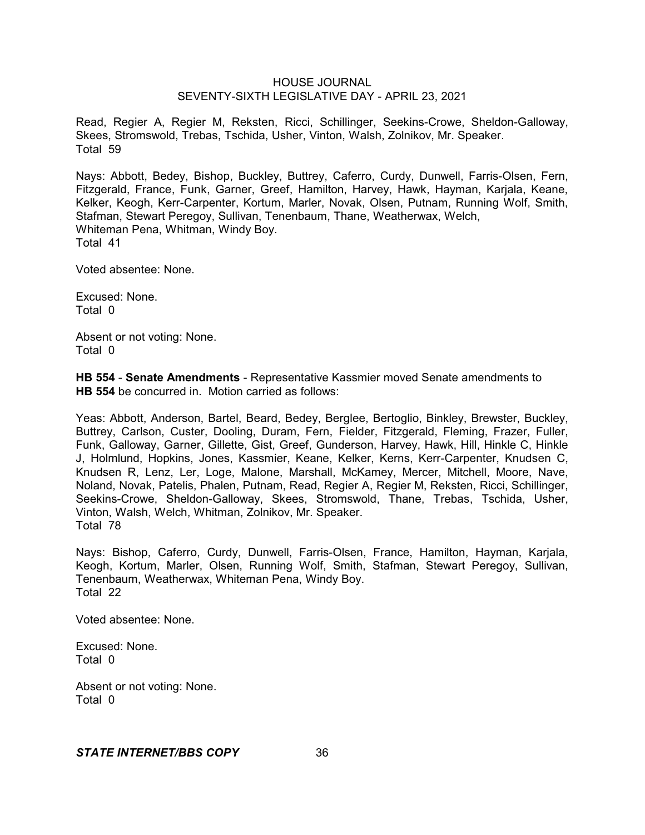Read, Regier A, Regier M, Reksten, Ricci, Schillinger, Seekins-Crowe, Sheldon-Galloway, Skees, Stromswold, Trebas, Tschida, Usher, Vinton, Walsh, Zolnikov, Mr. Speaker. Total 59

Nays: Abbott, Bedey, Bishop, Buckley, Buttrey, Caferro, Curdy, Dunwell, Farris-Olsen, Fern, Fitzgerald, France, Funk, Garner, Greef, Hamilton, Harvey, Hawk, Hayman, Karjala, Keane, Kelker, Keogh, Kerr-Carpenter, Kortum, Marler, Novak, Olsen, Putnam, Running Wolf, Smith, Stafman, Stewart Peregoy, Sullivan, Tenenbaum, Thane, Weatherwax, Welch, Whiteman Pena, Whitman, Windy Boy. Total 41

Voted absentee: None.

Excused: None. Total 0

Absent or not voting: None. Total 0

**HB 554** - **Senate Amendments** - Representative Kassmier moved Senate amendments to **HB 554** be concurred in. Motion carried as follows:

Yeas: Abbott, Anderson, Bartel, Beard, Bedey, Berglee, Bertoglio, Binkley, Brewster, Buckley, Buttrey, Carlson, Custer, Dooling, Duram, Fern, Fielder, Fitzgerald, Fleming, Frazer, Fuller, Funk, Galloway, Garner, Gillette, Gist, Greef, Gunderson, Harvey, Hawk, Hill, Hinkle C, Hinkle J, Holmlund, Hopkins, Jones, Kassmier, Keane, Kelker, Kerns, Kerr-Carpenter, Knudsen C, Knudsen R, Lenz, Ler, Loge, Malone, Marshall, McKamey, Mercer, Mitchell, Moore, Nave, Noland, Novak, Patelis, Phalen, Putnam, Read, Regier A, Regier M, Reksten, Ricci, Schillinger, Seekins-Crowe, Sheldon-Galloway, Skees, Stromswold, Thane, Trebas, Tschida, Usher, Vinton, Walsh, Welch, Whitman, Zolnikov, Mr. Speaker. Total 78

Nays: Bishop, Caferro, Curdy, Dunwell, Farris-Olsen, France, Hamilton, Hayman, Karjala, Keogh, Kortum, Marler, Olsen, Running Wolf, Smith, Stafman, Stewart Peregoy, Sullivan, Tenenbaum, Weatherwax, Whiteman Pena, Windy Boy. Total 22

Voted absentee: None.

Excused: None. Total 0

Absent or not voting: None. Total 0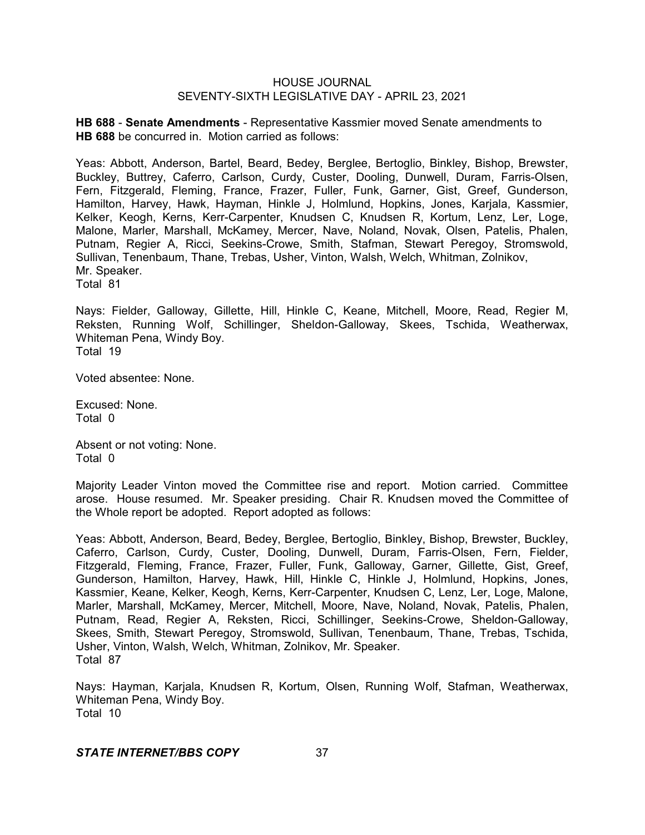**HB 688** - **Senate Amendments** - Representative Kassmier moved Senate amendments to **HB 688** be concurred in. Motion carried as follows:

Yeas: Abbott, Anderson, Bartel, Beard, Bedey, Berglee, Bertoglio, Binkley, Bishop, Brewster, Buckley, Buttrey, Caferro, Carlson, Curdy, Custer, Dooling, Dunwell, Duram, Farris-Olsen, Fern, Fitzgerald, Fleming, France, Frazer, Fuller, Funk, Garner, Gist, Greef, Gunderson, Hamilton, Harvey, Hawk, Hayman, Hinkle J, Holmlund, Hopkins, Jones, Karjala, Kassmier, Kelker, Keogh, Kerns, Kerr-Carpenter, Knudsen C, Knudsen R, Kortum, Lenz, Ler, Loge, Malone, Marler, Marshall, McKamey, Mercer, Nave, Noland, Novak, Olsen, Patelis, Phalen, Putnam, Regier A, Ricci, Seekins-Crowe, Smith, Stafman, Stewart Peregoy, Stromswold, Sullivan, Tenenbaum, Thane, Trebas, Usher, Vinton, Walsh, Welch, Whitman, Zolnikov, Mr. Speaker.

Total 81

Nays: Fielder, Galloway, Gillette, Hill, Hinkle C, Keane, Mitchell, Moore, Read, Regier M, Reksten, Running Wolf, Schillinger, Sheldon-Galloway, Skees, Tschida, Weatherwax, Whiteman Pena, Windy Boy. Total 19

Voted absentee: None.

Excused: None. Total 0

Absent or not voting: None. Total 0

Majority Leader Vinton moved the Committee rise and report. Motion carried. Committee arose. House resumed. Mr. Speaker presiding. Chair R. Knudsen moved the Committee of the Whole report be adopted. Report adopted as follows:

Yeas: Abbott, Anderson, Beard, Bedey, Berglee, Bertoglio, Binkley, Bishop, Brewster, Buckley, Caferro, Carlson, Curdy, Custer, Dooling, Dunwell, Duram, Farris-Olsen, Fern, Fielder, Fitzgerald, Fleming, France, Frazer, Fuller, Funk, Galloway, Garner, Gillette, Gist, Greef, Gunderson, Hamilton, Harvey, Hawk, Hill, Hinkle C, Hinkle J, Holmlund, Hopkins, Jones, Kassmier, Keane, Kelker, Keogh, Kerns, Kerr-Carpenter, Knudsen C, Lenz, Ler, Loge, Malone, Marler, Marshall, McKamey, Mercer, Mitchell, Moore, Nave, Noland, Novak, Patelis, Phalen, Putnam, Read, Regier A, Reksten, Ricci, Schillinger, Seekins-Crowe, Sheldon-Galloway, Skees, Smith, Stewart Peregoy, Stromswold, Sullivan, Tenenbaum, Thane, Trebas, Tschida, Usher, Vinton, Walsh, Welch, Whitman, Zolnikov, Mr. Speaker. Total 87

Nays: Hayman, Karjala, Knudsen R, Kortum, Olsen, Running Wolf, Stafman, Weatherwax, Whiteman Pena, Windy Boy. Total 10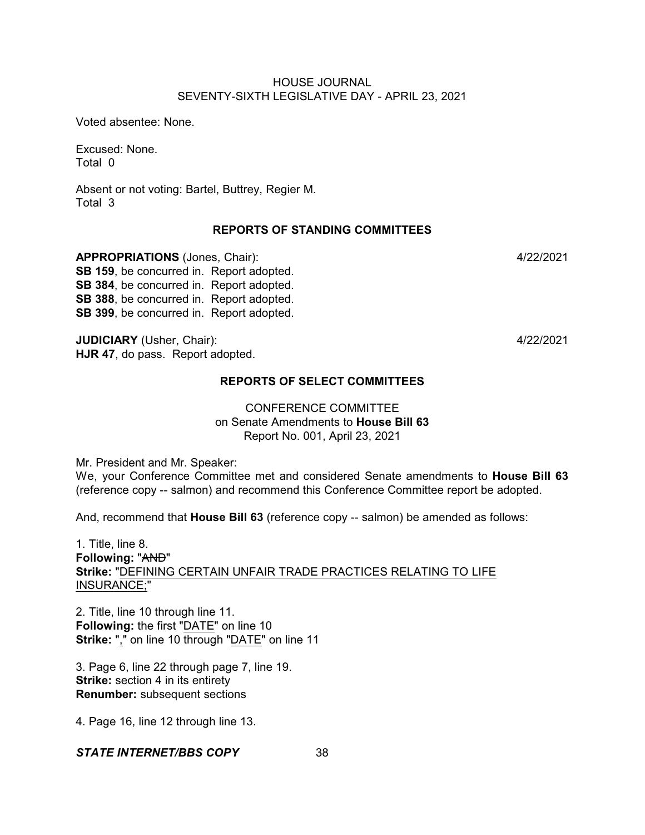Voted absentee: None.

Excused: None. Total 0

Absent or not voting: Bartel, Buttrey, Regier M. Total 3

## **REPORTS OF STANDING COMMITTEES**

**APPROPRIATIONS** (Jones, Chair): 4/22/2021 **SB 159**, be concurred in. Report adopted. **SB 384**, be concurred in. Report adopted. **SB 388**, be concurred in. Report adopted. **SB 399**, be concurred in. Report adopted.

**JUDICIARY** (Usher, Chair): 4/22/2021 **HJR 47**, do pass. Report adopted.

# **REPORTS OF SELECT COMMITTEES**

# CONFERENCE COMMITTEE on Senate Amendments to **House Bill 63** Report No. 001, April 23, 2021

Mr. President and Mr. Speaker:

We, your Conference Committee met and considered Senate amendments to **House Bill 63** (reference copy -- salmon) and recommend this Conference Committee report be adopted.

And, recommend that **House Bill 63** (reference copy -- salmon) be amended as follows:

1. Title, line 8. **Following:** "AND" **Strike:** "DEFINING CERTAIN UNFAIR TRADE PRACTICES RELATING TO LIFE INSURANCE;"

2. Title, line 10 through line 11. **Following:** the first "DATE" on line 10 **Strike:** "," on line 10 through "DATE" on line 11

3. Page 6, line 22 through page 7, line 19. **Strike:** section 4 in its entirety **Renumber:** subsequent sections

4. Page 16, line 12 through line 13.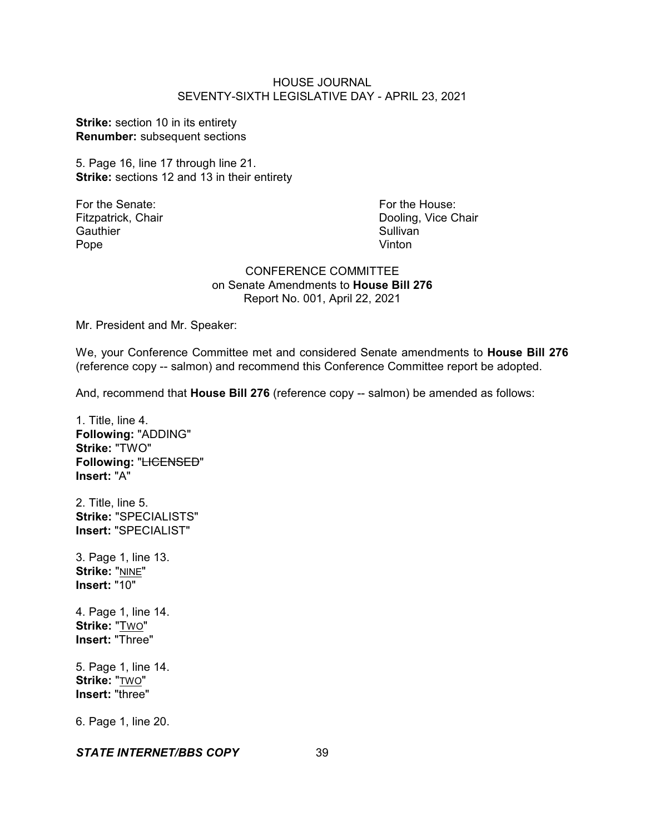**Strike:** section 10 in its entirety **Renumber:** subsequent sections

5. Page 16, line 17 through line 21. **Strike:** sections 12 and 13 in their entirety

Gauthier Sullivan<br>
Pope Contract Contract Contract Contract Contract Contract Contract Contract Contract Contract Contract Contra<br>
Sullivan Pope **Vinton** 

For the Senate: For the House: Fitzpatrick, Chair **Dooling, Vice Chair** Dooling, Vice Chair

## CONFERENCE COMMITTEE on Senate Amendments to **House Bill 276** Report No. 001, April 22, 2021

Mr. President and Mr. Speaker:

We, your Conference Committee met and considered Senate amendments to **House Bill 276** (reference copy -- salmon) and recommend this Conference Committee report be adopted.

And, recommend that **House Bill 276** (reference copy -- salmon) be amended as follows:

1. Title, line 4. **Following:** "ADDING" **Strike:** "TWO" **Following:** "LICENSED" **Insert:** "A"

2. Title, line 5. **Strike:** "SPECIALISTS" **Insert:** "SPECIALIST"

3. Page 1, line 13. **Strike:** "NINE" **Insert:** "10"

4. Page 1, line 14. **Strike:** "TWO" **Insert:** "Three"

5. Page 1, line 14. **Strike:** "TWO" **Insert:** "three"

6. Page 1, line 20.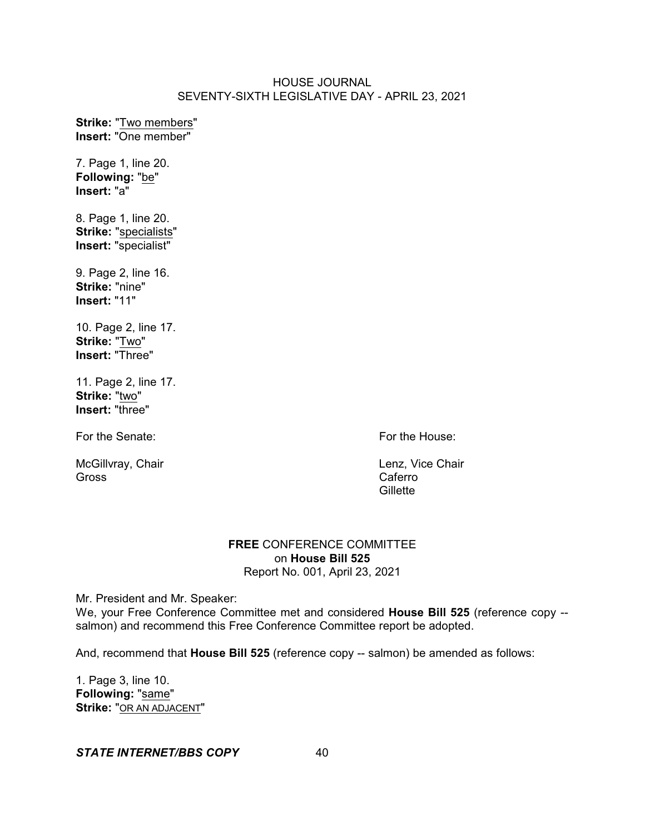**Strike:** "Two members" **Insert:** "One member"

7. Page 1, line 20. **Following:** "be" **Insert:** "a"

8. Page 1, line 20. **Strike:** "specialists" **Insert:** "specialist"

9. Page 2, line 16. **Strike:** "nine" **Insert:** "11"

10. Page 2, line 17. **Strike:** "Two" **Insert:** "Three"

11. Page 2, line 17. **Strike:** "two" **Insert:** "three"

For the Senate: For the House:

McGillvray, Chair **Lenz, Vice Chair Lenz**, Vice Chair Gross Caferro

**Gillette** 

## **FREE** CONFERENCE COMMITTEE on **House Bill 525** Report No. 001, April 23, 2021

Mr. President and Mr. Speaker:

We, your Free Conference Committee met and considered **House Bill 525** (reference copy - salmon) and recommend this Free Conference Committee report be adopted.

And, recommend that **House Bill 525** (reference copy -- salmon) be amended as follows:

1. Page 3, line 10. **Following:** "same" **Strike:** "OR AN ADJACENT"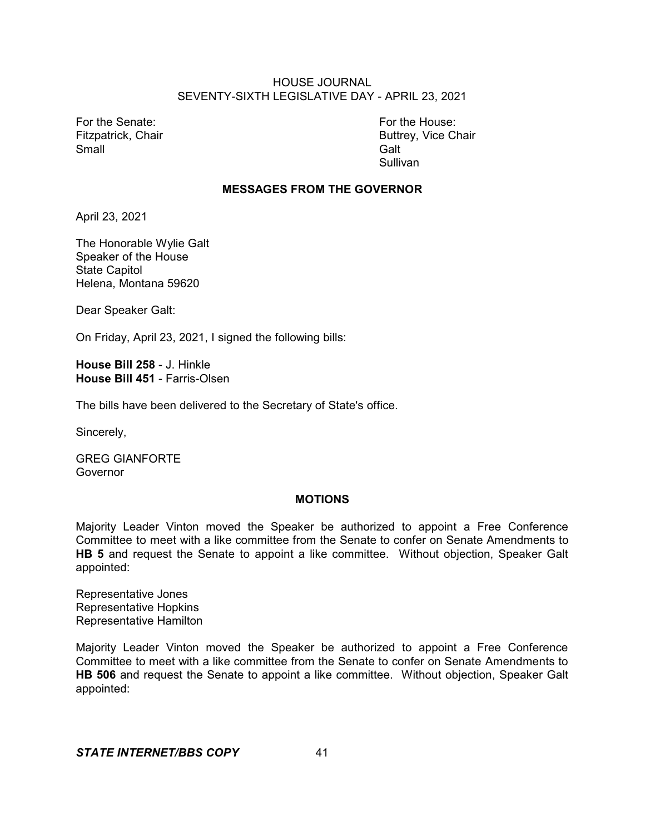For the Senate: For the House: Small Galt Controller Controller Controller Controller Controller Controller Controller Controller Controller

Fitzpatrick, Chair **Buttrey, Vice Chair** Buttrey, Vice Chair Sullivan

#### **MESSAGES FROM THE GOVERNOR**

April 23, 2021

The Honorable Wylie Galt Speaker of the House State Capitol Helena, Montana 59620

Dear Speaker Galt:

On Friday, April 23, 2021, I signed the following bills:

**House Bill 258** - J. Hinkle **House Bill 451** - Farris-Olsen

The bills have been delivered to the Secretary of State's office.

Sincerely,

GREG GIANFORTE Governor

#### **MOTIONS**

Majority Leader Vinton moved the Speaker be authorized to appoint a Free Conference Committee to meet with a like committee from the Senate to confer on Senate Amendments to **HB 5** and request the Senate to appoint a like committee. Without objection, Speaker Galt appointed:

Representative Jones Representative Hopkins Representative Hamilton

Majority Leader Vinton moved the Speaker be authorized to appoint a Free Conference Committee to meet with a like committee from the Senate to confer on Senate Amendments to **HB 506** and request the Senate to appoint a like committee. Without objection, Speaker Galt appointed: